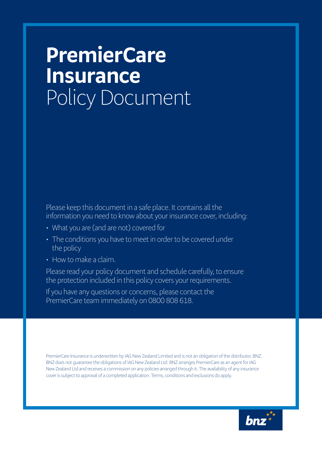# **PremierCare Insurance** Policy Document

Please keep this document in a safe place. It contains all the information you need to know about your insurance cover, including:

- What you are (and are not) covered for
- The conditions you have to meet in order to be covered under the policy
- How to make a claim.

Please read your policy document and schedule carefully, to ensure the protection included in this policy covers your requirements.

If you have any questions or concerns, please contact the PremierCare team immediately on 0800 808 618.

PremierCare Insurance is underwritten by IAG New Zealand Limited and is not an obligation of the distributor, BNZ. BNZ does not guarantee the obligations of IAG New Zealand Ltd. BNZ arranges PremierCare as an agent for IAG New Zealand Ltd and receives a commission on any policies arranged through it. The availability of any insurance cover is subject to approval of a completed application. Terms, conditions and exclusions do apply.

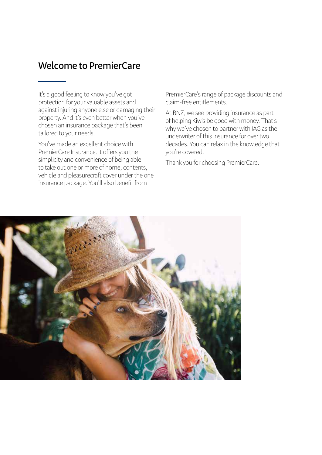## **Welcome to PremierCare**

It's a good feeling to know you've got protection for your valuable assets and against injuring anyone else or damaging their property. And it's even better when you've chosen an insurance package that's been tailored to your needs.

You've made an excellent choice with PremierCare Insurance. It offers you the simplicity and convenience of being able to take out one or more of home, contents, vehicle and pleasurecraft cover under the one insurance package. You'll also benefit from

PremierCare's range of package discounts and claim-free entitlements.

At BNZ, we see providing insurance as part of helping Kiwis be good with money. That's why we've chosen to partner with IAG as the underwriter of this insurance for over two decades. You can relax in the knowledge that you're covered.

Thank you for choosing PremierCare.

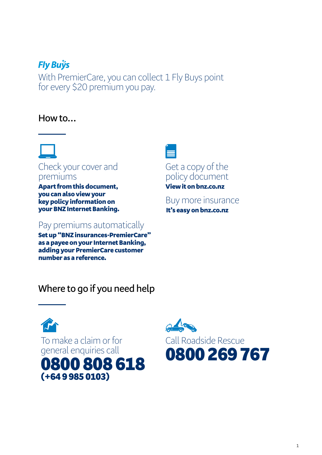## **Fly Buÿs**

With PremierCare, you can collect 1 Fly Buys point for every \$20 premium you pay.

## **How to…**



premiums

Apart from this document, you can also view your key policy information on your BNZ Internet Banking.

## Pay premiums automatically

Set up "BNZ insurances-PremierCare" as a payee on your Internet Banking, adding your PremierCare customer number as a reference.

## **Where to go if you need help**







## Get a copy of the policy document

View it on bnz.co.nz

Buy more insurance It's easy on bnz.co.nz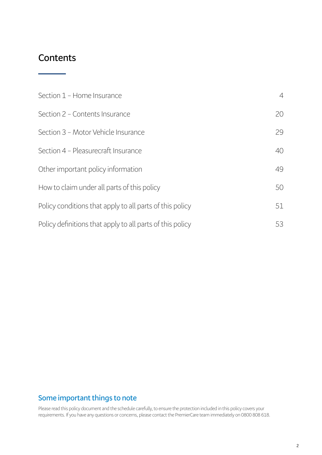## **Contents**

| Section 1 - Home Insurance                                | $\overline{4}$ |
|-----------------------------------------------------------|----------------|
| Section 2 - Contents Insurance                            | 20             |
| Section 3 - Motor Vehicle Insurance                       | 29             |
| Section 4 - Pleasurecraft Insurance                       | 40             |
| Other important policy information                        | 49             |
| How to claim under all parts of this policy               | 50             |
| Policy conditions that apply to all parts of this policy  | 51             |
| Policy definitions that apply to all parts of this policy | 53             |

### **Some important things to note**

Please read this policy document and the schedule carefully, to ensure the protection included in this policy covers your requirements. If you have any questions or concerns, please contact the PremierCare team immediately on 0800 808 618.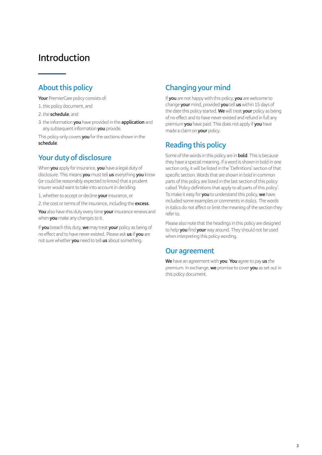## **Introduction**

### **About this policy**

**Your** PremierCare policy consists of:

- 1.this policy document, and
- 2.the **schedule**, and
- 3.the information **you** have provided in the **application** and any subsequent information **you** provide.

This policy only covers **you** for the sections shown in the **schedule**.

### **Your duty of disclosure**

When **you** apply for insurance, **you** have a legal duty of disclosure. This means **you** must tell **us** everything **you** know (or could be reasonably expected to know) that a prudent insurer would want to take into account in deciding:

1.whether to accept or decline **your** insurance, or

2.the cost or terms of the insurance, including the **excess**.

**You** also have this duty every time **your** insurance renews and when **you** make any changes to it.

If **you** breach this duty, **we** may treat **your** policy as being of no effect and to have never existed. Please ask **us** if **you** are not sure whether **you** need to tell **us** about something.

### **Changing your mind**

If **you** are not happy with this policy, **you** are welcome to change **your** mind, provided **you** tell **us** within 15 days of the date this policy started. **We** will treat **your** policy as being of no effect and to have never existed and refund in full any premium **you** have paid. This does not apply if **you** have made a claim on **your** policy.

### **Reading this policy**

Some of the words in this policy are in **bold**. This is because they have a special meaning. If a word is shown in bold in one section only, it will be listed in the 'Definitions' section of that specific section. Words that are shown in bold in common parts of this policy are listed in the last section of this policy called 'Policy definitions that apply to all parts of this policy'. To make it easy for **you** to understand this policy, **we** have included some examples or comments in *italics*. The words in italics do not affect or limit the meaning of the section they refer to.

Please also note that the headings in this policy are designed to help **you** find **your** way around. They should not be used when interpreting this policy wording.

### **Our agreement**

**We** have an agreement with **you**. **You** agree to pay **us** the premium. In exchange, **we** promise to cover **you** as set out in this policy document.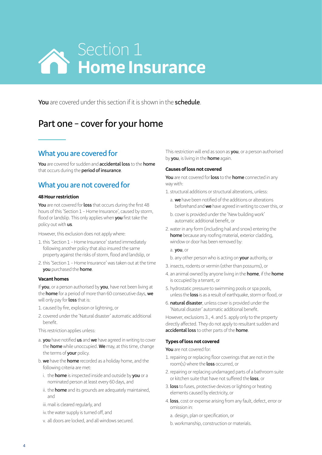

**You** are covered under this section if it is shown in the **schedule**.

## **Part one – cover for your home**

### **What you are covered for**

**You** are covered for sudden and **accidental loss** to the **home** that occurs during the **period of insurance**.

### **What you are not covered for**

### **48 Hour restriction**

**You** are not covered for **loss** that occurs during the first 48 hours of this 'Section 1 – Home Insurance', caused by storm, flood or landslip. This only applies when **you** first take the policy out with **us**.

However, this exclusion does not apply where:

- 1.this 'Section 1 Home Insurance' started immediately following another policy that also insured the same property against the risks of storm, flood and landslip, or
- 2.this 'Section 1 Home Insurance' was taken out at the time **you** purchased the **home**.

### **Vacant homes**

If **you**, or a person authorised by **you**, have not been living at the **home** for a period of more than 60 consecutive days, **we** will only pay for **loss** that is:

- 1. caused by fire, explosion or lightning, or
- 2. covered under the 'Natural disaster' automatic additional benefit.
- This restriction applies unless:
- a. **you** have notified **us** and **we** have agreed in writing to cover the **home** while unoccupied. **We** may, at this time, change the terms of **your** policy.
- b. **we** have the **home** recorded as a holiday home, and the following criteria are met:
	- i. the **home** is inspected inside and outside by **you** or a nominated person at least every 60 days, and
	- ii. the **home** and its grounds are adequately maintained, and
	- iii. mail is cleared regularly, and
	- iv, the water supply is turned off, and
	- v. all doors are locked, and all windows secured.

This restriction will end as soon as **you**, or a person authorised by **you**, is living in the **home** again.

### **Causes of loss not covered**

**You** are not covered for **loss** to the **home** connected in any way with:

- 1. structural additions or structural alterations, unless:
	- a. **we** have been notified of the additions or alterations beforehand and **we** have agreed in writing to cover this, or
	- b. cover is provided under the 'New building work' automatic additional benefit, or
- 2.water in any form (including hail and snow) entering the **home** because any roofing material, exterior cladding, window or door has been removed by:

a. **you**, or

- b. any other person who is acting on **your** authority, or
- 3. insects, rodents or vermin (other than possums), or
- 4. an animal owned by anyone living in the **home**, if the **home** is occupied by a tenant, or
- 5. hydrostatic pressure to swimming pools or spa pools, unless the **loss** is as a result of earthquake, storm or flood, or
- 6. **natural disaster**, unless cover is provided under the 'Natural disaster' automatic additional benefit.

However, exclusions 3., 4. and 5. apply only to the property directly affected. They do not apply to resultant sudden and **accidental loss** to other parts of the **home**.

### **Types of loss not covered**

**You** are not covered for:

- 1.repairing or replacing floor coverings that are not in the room(s) where the **loss** occurred, or
- 2.repairing or replacing undamaged parts of a bathroom suite or kitchen suite that have not suffered the **loss**, or
- 3. **loss** to fuses, protective devices or lighting or heating elements caused by electricity, or
- 4. **loss**, cost or expense arising from any fault, defect, error or omission in:
	- a. design, plan or specification, or
	- b. workmanship, construction or materials.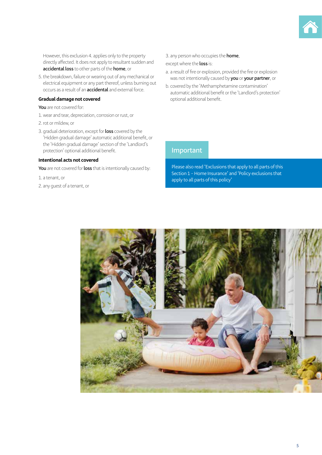

However, this exclusion 4. applies only to the property directly affected. It does not apply to resultant sudden and **accidental loss** to other parts of the **home**, or

5.the breakdown, failure or wearing out of any mechanical or electrical equipment or any part thereof, unless burning out occurs as a result of an **accidental** and external force.

#### **Gradual damage not covered**

**You** are not covered for:

- 1.wear and tear, depreciation, corrosion or rust, or
- 2.rot or mildew, or
- 3. gradual deterioration, except for **loss** covered by the 'Hidden gradual damage' automatic additional benefit, or the 'Hidden gradual damage' section of the 'Landlord's protection' optional additional benefit.

#### **Intentional acts not covered**

**You** are not covered for **loss** that is intentionally caused by:

1. a tenant, or

2. any guest of a tenant, or

#### 3. any person who occupies the **home**,

### except where the **loss** is:

- a. a result of fire or explosion, provided the fire or explosion was not intentionally caused by **you** or **your partner**, or
- b. covered by the 'Methamphetamine contamination' automatic additional benefit or the 'Landlord's protection' optional additional benefit.

### **Important**

Please also read 'Exclusions that apply to all parts of this Section 1 – Home Insurance' and 'Policy exclusions that apply to all parts of this policy'

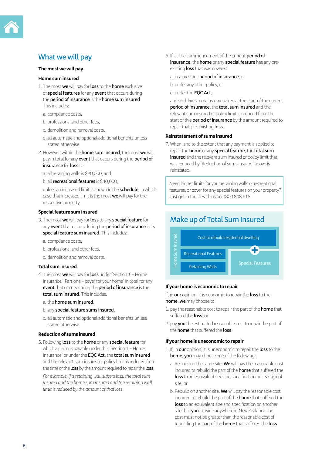

### **What we will pay**

### **The most we will pay**

#### **Home sum insured**

- 1. The most **we** will pay for **loss** to the **home** exclusive of **special features** for any **event** that occurs during the **period of insurance** is the **home sum insured**. This includes:
	- a. compliance costs,
	- b. professional and other fees,
	- c. demolition and removal costs,
	- d. all automatic and optional additional benefits unless stated otherwise.
- 2.However, within the **home sum insured**, the most **we** will pay in total for any **event** that occurs during the **period of insurance** for **loss** to:
	- a. all retaining walls is \$20,000, and
	- b. all **recreational features** is \$40,000,

unless an increased limit is shown in the **schedule**, in which case that increased limit is the most **we** will pay for the respective property.

#### **Special feature sum insured**

- 3. The most **we** will pay for **loss** to any **special feature** for any **event** that occurs during the **period of insurance** is its **special feature sum insured**. This includes:
	- a. compliance costs,
	- b. professional and other fees,
	- c. demolition and removal costs.

#### **Total sum insured**

- 4. The most **we** will pay for **loss** under 'Section 1 Home Insurance' 'Part one – cover for your home' in total for any **event** that occurs during the **period of insurance** is the **total sum insured**. This includes:
	- a. the **home sum insured**,
	- b. any **special feature sums insured**,
	- c. all automatic and optional additional benefits unless stated otherwise.

### **Reduction of sums insured**

5. Following **loss** to the **home** or any **special feature** for which a claim is payable under this 'Section 1 – Home Insurance' or under the **EQC Act**, the **total sum insured** and the relevant sum insured or policy limit is reduced from the time of the **loss** by the amount required to repair the **loss**.

*For example, if a retaining wall suffers loss, the total sum insured and the home sum insured and the retaining wall limit is reduced by the amount of that loss.*

- 6. If, at the commencement of the current **period of insurance**, the **home** or any **special feature** has any pre
	- existing **loss** that was covered:
	- a. in a previous **period of insurance**, or
	- b. under any other policy, or
	- c. under the **EQC Act**,

and such **loss** remains unrepaired at the start of the current **period of insurance**, the **total sum insured** and the relevant sum insured or policy limit is reduced from the start of this **period of insurance** by the amount required to repair that pre-existing **loss**.

#### **Reinstatement of sums insured**

7. When, and to the extent that any payment is applied to repair the **home** or any **special feature**, the **total sum insured** and the relevant sum insured or policy limit that was reduced by 'Reduction of sums insured' above is reinstated.

Need higher limits for your retaining walls or recreational features, or cover for any special features on your property? Just get in touch with us on 0800 808 618!

### **Make up of Total Sum Insured**



#### **If your home is economic to repair**

If, in **our** opinion, it is economic to repair the **loss** to the **home**, **we** may choose to:

- 1. pay the reasonable cost to repair the part of the **home** that suffered the **loss**, or
- 2. pay **you** the estimated reasonable cost to repair the part of the **home** that suffered the **loss**.

#### **If your home is uneconomic to repair**

- 1. If, in **our** opinion, it is uneconomic to repair the **loss** to the **home**, **you** may choose one of the following:
	- a. Rebuild on the same site: **We** will pay the reasonable cost incurred to rebuild the part of the **home** that suffered the **loss** to an equivalent size and specification on its original site, or
	- b. Rebuild on another site: **We** will pay the reasonable cost incurred to rebuild the part of the **home** that suffered the **loss** to an equivalent size and specification on another site that **you** provide anywhere in New Zealand. The cost must not be greater than the reasonable cost of rebuilding the part of the **home** that suffered the **loss**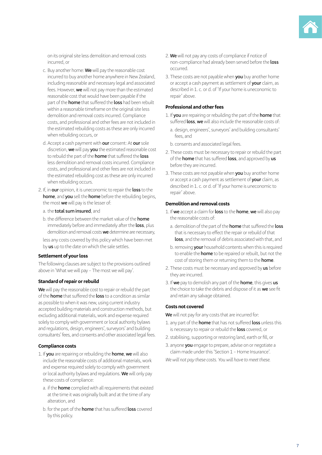

on its original site less demolition and removal costs incurred, or

- c. Buy another home: **We** will pay the reasonable cost incurred to buy another home anywhere in New Zealand, including reasonable and necessary legal and associated fees. However, **we** will not pay more than the estimated reasonable cost that would have been payable if the part of the **home** that suffered the **loss** had been rebuilt within a reasonable timeframe on the original site less demolition and removal costs incurred. Compliance costs, and professional and other fees are not included in the estimated rebuilding costs as these are only incurred when rebuilding occurs, or
- d. Accept a cash payment with **our** consent: At **our** sole discretion, **we** will pay **you** the estimated reasonable cost to rebuild the part of the **home** that suffered the **loss** less demolition and removal costs incurred. Compliance costs, and professional and other fees are not included in the estimated rebuilding cost as these are only incurred when rebuilding occurs.
- 2. If, in **our** opinion, it is uneconomic to repair the **loss** to the **home**, and **you** sell the **home** before the rebuilding begins, the most **we** will pay is the lesser of:
	- a. the **total sum insured**, and
	- b. the difference between the market value of the **home** immediately before and immediately after the **loss**, plus demolition and removal costs **we** determine are necessary,
	- less any costs covered by this policy which have been met by **us** up to the date on which the sale settles.

#### **Settlement of your loss**

The following clauses are subject to the provisions outlined above in 'What we will pay – The most we will pay'.

#### **Standard of repair or rebuild**

**We** will pay the reasonable cost to repair or rebuild the part of the **home** that suffered the **loss** to a condition as similar as possible to when it was new, using current industry accepted building materials and construction methods, but excluding additional materials, work and expense required solely to comply with government or local authority bylaws and regulations, design, engineers', surveyors' and building consultants' fees, and consents and other associated legal fees.

### **Compliance costs**

- 1. If **you** are repairing or rebuilding the **home**, **we** will also include the reasonable costs of additional materials, work and expense required solely to comply with government or local authority bylaws and regulations. **We** will only pay these costs of compliance:
	- a. if the **home** complied with all requirements that existed at the time it was originally built and at the time of any alteration, and
	- b. for the part of the **home** that has suffered **loss** covered by this policy.
- 2. **We** will not pay any costs of compliance if notice of non-compliance had already been served before the **loss** occurred.
- 3. These costs are not payable when **you** buy another home or accept a cash payment as settlement of **your** claim, as described in 1. c. or d. of 'If your home is uneconomic to repair' above.

#### **Professional and other fees**

- 1. If **you** are repairing or rebuilding the part of the **home** that suffered **loss**, **we** will also include the reasonable costs of:
	- a. design, engineers', surveyors' and building consultants' fees, and
	- b. consents and associated legal fees.
- 2. These costs must be necessary to repair or rebuild the part of the **home** that has suffered **loss**, and approved by **us** before they are incurred.
- 3. These costs are not payable when **you** buy another home or accept a cash payment as settlement of **your** claim, as described in 1. c. or d. of 'If your home is uneconomic to repair' above.

### **Demolition and removal costs**

- 1. If **we** accept a claim for **loss** to the **home**, **we** will also pay the reasonable costs of:
	- a. demolition of the part of the **home** that suffered the **loss** that is necessary to effect the repair or rebuild of that **loss**, and the removal of debris associated with that, and
	- b. removing **your** household contents when this is required to enable the **home** to be repaired or rebuilt, but not the cost of storing them or returning them to the **home**.
- 2. These costs must be necessary and approved by **us** before they are incurred.
- 3. If **we** pay to demolish any part of the **home**, this gives **us** the choice to take the debris and dispose of it as **we** see fit and retain any salvage obtained.

#### **Costs not covered**

**We** will not pay for any costs that are incurred for:

- 1. any part of the **home** that has not suffered **loss** unless this is necessary to repair or rebuild the **loss** covered, or
- 2. stabilising, supporting or restoring land, earth or fill, or
- 3. anyone **you** engage to prepare, advise on or negotiate a claim made under this 'Section 1 – Home Insurance'.

*We will not pay these costs. You will have to meet these.*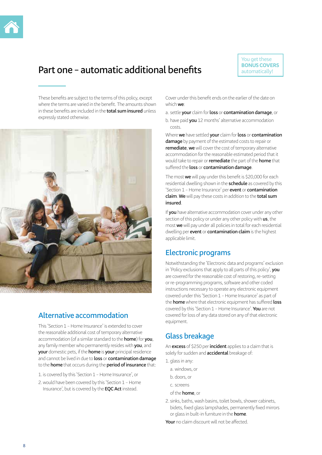

## **Part one – automatic additional benefits**

You get these **BONUS COVERS** automatically!

These benefits are subject to the terms of this policy, except where the terms are varied in the benefit. The amounts shown in these benefits are included in the **total sum insured** unless expressly stated otherwise.



### **Alternative accommodation**

This 'Section 1 – Home Insurance' is extended to cover the reasonable additional cost of temporary alternative accommodation (of a similar standard to the **home**) for **you**, any family member who permanently resides with **you**, and **your** domestic pets, if the **home** is **your** principal residence and cannot be lived in due to **loss** or **contamination damage** to the **home** that occurs during the **period of insurance** that:

1. is covered by this 'Section 1 – Home Insurance', or

2.would have been covered by this 'Section 1 – Home Insurance', but is covered by the **EQC Act** instead.

Cover under this benefit ends on the earlier of the date on which **we**:

a. settle **your** claim for **loss** or **contamination damage**, or

b. have paid **you** 12 months' alternative accommodation costs.

Where **we** have settled **your** claim for **loss** or **contamination damage** by payment of the estimated costs to repair or **remediate**, **we** will cover the cost of temporary alternative accommodation for the reasonable estimated period that it would take to repair or **remediate** the part of the **home** that suffered the **loss** or **contamination damage**.

The most **we** will pay under this benefit is \$20,000 for each residential dwelling shown in the **schedule** as covered by this 'Section 1 – Home Insurance' per **event** or **contamination claim**. **We** will pay these costs in addition to the **total sum insured**.

If **you** have alternative accommodation cover under any other section of this policy or under any other policy with **us**, the most **we** will pay under all policies in total for each residential dwelling per **event** or **contamination claim** is the highest applicable limit.

### **Electronic programs**

Notwithstanding the 'Electronic data and programs' exclusion in 'Policy exclusions that apply to all parts of this policy', **you** are covered for the reasonable cost of restoring, re-setting or re-programming programs, software and other coded instructions necessary to operate any electronic equipment covered under this 'Section 1 – Home Insurance' as part of the **home** where that electronic equipment has suffered **loss** covered by this 'Section 1 – Home Insurance'. **You** are not covered for loss of any data stored on any of that electronic equipment.

### **Glass breakage**

An **excess** of \$250 per **incident** applies to a claim that is solely for sudden and **accidental** breakage of:

- 1. glass in any:
	- a. windows, or
	- b. doors, or
- c. screens
- of the **home**, or
- 2. sinks, baths, wash basins, toilet bowls, shower cabinets, bidets, fixed glass lampshades, permanently fixed mirrors or glass in built-in furniture in the **home**.

**Your** no claim discount will not be affected.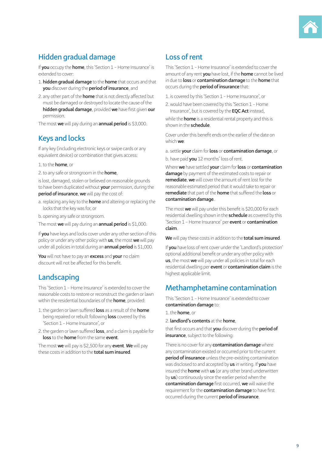

### **Hidden gradual damage**

If **you** occupy the **home**, this 'Section 1 – Home Insurance' is extended to cover:

- 1. **hidden gradual damage** to the **home** that occurs and that **you** discover during the **period of insurance**, and
- 2. any other part of the **home** that is not directly affected but must be damaged or destroyed to locate the cause of the **hidden gradual damage**, provided **we** have first given **our** permission.

The most **we** will pay during an **annual period** is \$3,000.

### **Keys and locks**

If any key (including electronic keys or swipe cards or any equivalent device) or combination that gives access:

### 1.to the **home**, or

2.to any safe or strongroom in the **home**,

is lost, damaged, stolen or believed on reasonable grounds to have been duplicated without **your** permission, during the **period of insurance**, **we** will pay the cost of:

a. replacing any key to the **home** and altering or replacing the locks that the key was for, or

b. opening any safe or strongroom.

The most **we** will pay during an **annual period** is \$1,000.

If **you** have keys and locks cover under any other section of this policy or under any other policy with **us**, the most **we** will pay under all policies in total during an **annual period** is \$1,000.

**You** will not have to pay an **excess** and **your** no claim discount will not be affected for this benefit.

### **Landscaping**

This 'Section 1 – Home Insurance' is extended to cover the reasonable costs to restore or reconstruct the garden or lawn within the residential boundaries of the **home**, provided:

- 1.the garden or lawn suffered **loss** as a result of the **home** being repaired or rebuilt following **loss** covered by this 'Section 1 – Home Insurance', or
- 2.the garden or lawn suffered **loss**, and a claim is payable for **loss** to the **home** from the same **event**.

The most **we** will pay is \$2,500 for any **event**. **We** will pay these costs in addition to the **total sum insured**.

### **Loss of rent**

This 'Section 1 – Home Insurance' is extended to cover the amount of any rent **you** have lost, if the **home** cannot be lived in due to **loss** or **contamination damage** to the **home** that occurs during the **period of insurance** that:

- 1. is covered by this 'Section 1 Home Insurance', or
- 2.would have been covered by this 'Section 1 Home Insurance', but is covered by the **EQC Act** instead,

while the **home** is a residential rental property and this is shown in the **schedule**.

Cover under this benefit ends on the earlier of the date on which **we**:

a. settle **your** claim for **loss** or **contamination damage**, or b. have paid **you** 12 months' loss of rent.

Where **we** have settled **your** claim for **loss** or **contamination damage** by payment of the estimated costs to repair or **remediate**, **we** will cover the amount of rent lost for the reasonable estimated period that it would take to repair or **remediate** that part of the **home** that suffered the **loss** or **contamination damage**.

The most **we** will pay under this benefit is \$20,000 for each residential dwelling shown in the **schedule** as covered by this 'Section 1 – Home Insurance' per **event** or **contamination claim**.

**We** will pay these costs in addition to the **total sum insured**.

If **you** have loss of rent cover under the 'Landlord's protection' optional additional benefit or under any other policy with **us**, the most **we** will pay under all policies in total for each residential dwelling per **event** or **contamination claim** is the highest applicable limit.

### **Methamphetamine contamination**

This 'Section 1 – Home Insurance' is extended to cover **contamination damage** to:

1.the **home**, or

2. **landlord's contents** at the **home**,

that first occurs and that **you** discover during the **period of insurance**, subject to the following:

There is no cover for any **contamination damage** where any contamination existed or occurred prior to the current **period of insurance** unless the pre-existing contamination was disclosed to and accepted by **us** in writing. If **you** have insured the **home** with **us** (or any other brand underwritten by **us**) continuously since the earlier period when the **contamination damage** first occurred, **we** will waive the requirement for the **contamination damage** to have first occurred during the current **period of insurance**.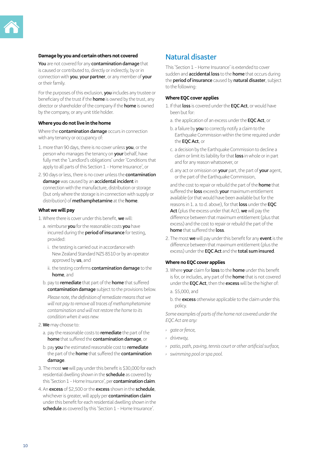#### **Damage by you and certain others not covered**

**You** are not covered for any **contamination damage** that is caused or contributed to, directly or indirectly, by or in connection with **you**, **your partner**, or any member of **your** or their family.

For the purposes of this exclusion, **you** includes any trustee or beneficiary of the trust if the **home** is owned by the trust, any director or shareholder of the company if the **home** is owned by the company, or any unit title holder.

### **Where you do not live in the home**

Where the **contamination damage** occurs in connection with any tenancy or occupancy of:

- 1. more than 90 days, there is no cover unless **you**, or the person who manages the tenancy on **your** behalf, have fully met the 'Landlord's obligations' under 'Conditions that apply to all parts of this Section 1 – Home Insurance', or
- 2. 90 days or less, there is no cover unless the **contamination damage** was caused by an **accidental incident** in connection with the manufacture, distribution or storage (but only where the storage is in connection with supply or distribution) of **methamphetamine** at the **home**.

### **What we will pay**

- 1. Where there is cover under this benefit, **we** will:
	- a. reimburse **you** for the reasonable costs **you** have incurred during the **period of insurance** for testing, provided:
		- i. the testing is carried out in accordance with New Zealand Standard NZS 8510 or by an operator approved by **us**, and
		- ii. the testing confirms **contamination damage** to the **home**, and
	- b. pay to **remediate** that part of the **home** that suffered **contamination damage** subject to the provisions below.

*Please note, the definition of remediate means that we will not pay to remove all traces of methamphetamine contamination and will not restore the home to its condition when it was new.*

- 2. **We** may choose to:
	- a. pay the reasonable costs to **remediate** the part of the **home** that suffered the **contamination damage**, or
	- b. pay **you** the estimated reasonable cost to **remediate** the part of the **home** that suffered the **contamination damage**.
- 3. The most **we** will pay under this benefit is \$30,000 for each residential dwelling shown in the **schedule** as covered by this 'Section 1 – Home Insurance', per **contamination claim**.
- 4. An **excess** of \$2,500 or the **excess** shown in the **schedule**, whichever is greater, will apply per **contamination claim** under this benefit for each residential dwelling shown in the schedule as covered by this 'Section 1 - Home Insurance'.

### **Natural disaster**

This 'Section 1 – Home Insurance' is extended to cover sudden and **accidental loss** to the **home** that occurs during the **period of insurance** caused by **natural disaster**, subject to the following:

#### **Where EQC cover applies**

- 1. If that **loss** is covered under the **EQC Act**, or would have been but for:
	- a. the application of an excess under the **EQC Act**, or
	- b. a failure by **you** to correctly notify a claim to the Earthquake Commission within the time required under the **EQC Act**, or
	- c. a decision by the Earthquake Commission to decline a claim or limit its liability for that **loss** in whole or in part and for any reason whatsoever, or
	- d. any act or omission on **your** part, the part of **your** agent, or the part of the Earthquake Commission,

and the cost to repair or rebuild the part of the **home** that suffered the **loss** exceeds **your** maximum entitlement available (or that would have been available but for the reasons in 1. a. to d. above), for that **loss** under the **EQC Act** (plus the excess under that Act), **we** will pay the difference between that maximum entitlement (plus that excess) and the cost to repair or rebuild the part of the **home** that suffered the **loss**.

2. The most **we** will pay under this benefit for any **event** is the difference between that maximum entitlement (plus the excess) under the **EQC Act** and the **total sum insured**.

### **Where no EQC cover applies**

- 3. Where **your** claim for **loss** to the **home** under this benefit is for, or includes, any part of the **home** that is not covered under the **EQC Act**, then the **excess** will be the higher of: a. \$5,000, and
	- b. the **excess** otherwise applicable to the claim under this policy.

*Some examples of parts of the home not covered under the EQC Act are any:*

- *› gate or fence,*
- *› driveway,*
- *› patio, path, paving, tennis court or other artificial surface,*
- *› swimming pool or spa pool.*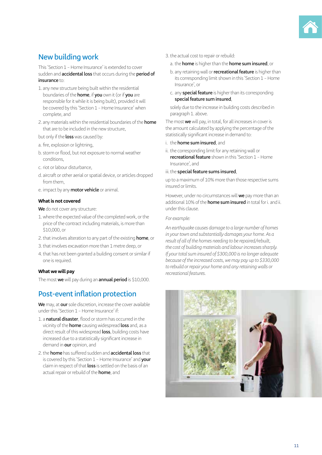### **New building work**

This 'Section 1 – Home Insurance' is extended to cover sudden and **accidental loss** that occurs during the **period of insurance** to:

- 1. any new structure being built within the residential boundaries of the **home**, if **you** own it (or if **you** are responsible for it while it is being built), provided it will be covered by this 'Section 1 – Home Insurance' when complete, and
- 2. any materials within the residential boundaries of the **home** that are to be included in the new structure,

but only if the **loss** was caused by:

- a. fire, explosion or lightning,
- b. storm or flood, but not exposure to normal weather conditions,
- c. riot or labour disturbance,
- d. aircraft or other aerial or spatial device, or articles dropped from them,
- e. impact by any **motor vehicle** or animal.

### **What is not covered**

**We** do not cover any structure:

- 1.where the expected value of the completed work, or the price of the contract including materials, is more than \$10,000, or
- 2.that involves alteration to any part of the existing **home**, or
- 3.that involves excavation more than 1 metre deep, or
- 4.that has not been granted a building consent or similar if one is required.

### **What we will pay**

The most **we** will pay during an **annual period** is \$10,000.

### **Post-event inflation protection**

**We** may, at **our** sole discretion, increase the cover available under this 'Section 1 – Home Insurance' if:

- 1. a **natural disaster**, flood or storm has occurred in the vicinity of the **home** causing widespread **loss** and, as a direct result of this widespread **loss**, building costs have increased due to a statistically significant increase in demand in **our** opinion, and
- 2.the **home** has suffered sudden and **accidental loss** that is covered by this 'Section 1 – Home Insurance' and **your** claim in respect of that **loss** is settled on the basis of an actual repair or rebuild of the **home**, and
- 3.the actual cost to repair or rebuild:
	- a. the **home** is higher than the **home sum insured**, or
	- b. any retaining wall or **recreational feature** is higher than its corresponding limit shown in this 'Section 1 – Home Insurance', or
	- c. any **special feature** is higher than its corresponding **special feature sum insured**,

solely due to the increase in building costs described in paragraph 1. above.

The most **we** will pay, in total, for all increases in cover is the amount calculated by applying the percentage of the statistically significant increase in demand to:

- i. the **home sum insured**, and
- ii. the corresponding limit for any retaining wall or **recreational feature** shown in this 'Section 1 – Home Insurance', and

#### iii. the **special feature sums insured**,

up to a maximum of 10% more than those respective sums insured or limits.

However, under no circumstances will **we** pay more than an additional 10% of the **home sum insured** in total for i. and ii. under this clause.

#### *For example:*

*An earthquake causes damage to a large number of homes in your town and substantially damages your home. As a result of all of the homes needing to be repaired/rebuilt, the cost of building materials and labour increases sharply. If your total sum insured of \$300,000 is no longer adequate because of the increased costs, we may pay up to \$330,000 to rebuild or repair your home and any retaining walls or recreational features.*

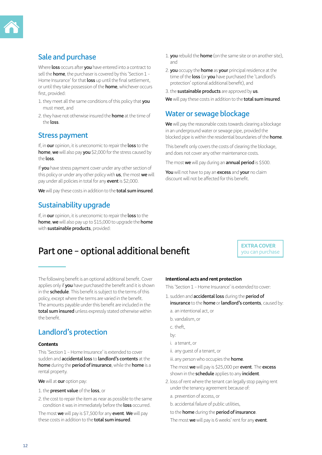

### **Sale and purchase**

Where **loss** occurs after **you** have entered into a contract to sell the **home**, the purchaser is covered by this 'Section 1 – Home Insurance' for that **loss** up until the final settlement, or until they take possession of the **home**, whichever occurs first provided<sup>.</sup>

- 1.they meet all the same conditions of this policy that **you** must meet, and
- 2.they have not otherwise insured the **home** at the time of the **loss**.

### **Stress payment**

If, in **our** opinion, it is uneconomic to repair the **loss** to the **home**, **we** will also pay **you** \$2,000 for the stress caused by the **loss**.

If **you** have stress payment cover under any other section of this policy or under any other policy with **us**, the most **we** will pay under all policies in total for any **event** is \$2,000.

**We** will pay these costs in addition to the **total sum insured**.

### **Sustainability upgrade**

If, in **our** opinion, it is uneconomic to repair the **loss** to the **home**, **we** will also pay up to \$15,000 to upgrade the **home** with **sustainable products**, provided:

- 1. **you** rebuild the **home** (on the same site or on another site), and
- 2. **you** occupy the **home** as **your** principal residence at the time of the **loss** (or **you** have purchased the 'Landlord's protection' optional additional benefit), and
- 3.the **sustainable products** are approved by **us**.

**We** will pay these costs in addition to the **total sum insured**.

### **Water or sewage blockage**

**We** will pay the reasonable costs towards clearing a blockage in an underground water or sewage pipe, provided the blocked pipe is within the residential boundaries of the **home**.

This benefit only covers the costs of clearing the blockage, and does not cover any other maintenance costs.

The most **we** will pay during an **annual period** is \$500.

**You** will not have to pay an **excess** and **your** no claim discount will not be affected for this benefit.

## **Part one – optional additional benefit Part one – optional additional benefit**

you can purchase

The following benefit is an optional additional benefit. Cover applies only if **you** have purchased the benefit and it is shown in the **schedule**. This benefit is subject to the terms of this policy, except where the terms are varied in the benefit. The amounts payable under this benefit are included in the **total sum insured** unless expressly stated otherwise within the benefit.

### **Landlord's protection**

#### **Contents**

This 'Section 1 – Home Insurance' is extended to cover sudden and **accidental loss** to **landlord's contents** at the **home** during the **period of insurance**, while the **home** is a rental property.

**We** will at **our** option pay:

- 1.the **present value** of the **loss**, or
- 2.the cost to repair the item as near as possible to the same condition it was in immediately before the **loss** occurred.

The most **we** will pay is \$7,500 for any **event**. **We** will pay these costs in addition to the **total sum insured**.

### **Intentional acts and rent protection**

This 'Section 1 – Home Insurance' is extended to cover:

- 1. sudden and **accidental loss** during the **period of insurance** to the **home** or **landlord's contents**, caused by:
	- a. an intentional act, or
	- b. vandalism, or
	- c. theft,
	- by:
	- i. a tenant, or
	- ii. any guest of a tenant, or

iii.any person who occupies the **home**.

The most **we** will pay is \$25,000 per **event**. The **excess** shown in the **schedule** applies to any **incident**.

2. loss of rent where the tenant can legally stop paying rent under the tenancy agreement because of:

a. prevention of access, or

b. accidental failure of public utilities,

to the **home** during the **period of insurance**.

The most **we** will pay is 6 weeks' rent for any **event**.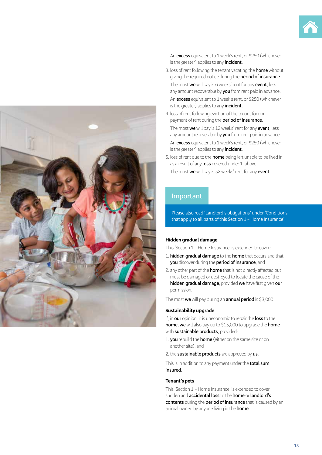

An **excess** equivalent to 1 week's rent, or \$250 (whichever is the greater) applies to any **incident**.

- 3. loss of rent following the tenant vacating the **home** without giving the required notice during the **period of insurance**. The most **we** will pay is 6 weeks' rent for any **event**, less any amount recoverable by **you** from rent paid in advance. An **excess** equivalent to 1 week's rent, or \$250 (whichever is the greater) applies to any **incident**.
- 4. loss of rent following eviction of the tenant for nonpayment of rent during the **period of insurance**.

The most **we** will pay is 12 weeks' rent for any **event**, less any amount recoverable by **you** from rent paid in advance. An **excess** equivalent to 1 week's rent, or \$250 (whichever is the greater) applies to any **incident**.

5. loss of rent due to the **home** being left unable to be lived in as a result of any **loss** covered under 1. above.

The most **we** will pay is 52 weeks' rent for any **event**.

### **Important**

Please also read 'Landlord's obligations' under 'Conditions that apply to all parts of this Section 1 – Home Insurance'.

### **Hidden gradual damage**

This 'Section 1 – Home Insurance' is extended to cover:

- 1. **hidden gradual damage** to the **home** that occurs and that **you** discover during the **period of insurance**, and
- 2. any other part of the **home** that is not directly affected but must be damaged or destroyed to locate the cause of the **hidden gradual damage**, provided **we** have first given **our** permission.

The most **we** will pay during an **annual period** is \$3,000.

#### **Sustainability upgrade**

If, in **our** opinion, it is uneconomic to repair the **loss** to the **home**, **we** will also pay up to \$15,000 to upgrade the **home** with **sustainable products**, provided:

- 1. **you** rebuild the **home** (either on the same site or on another site), and
- 2.the **sustainable products** are approved by **us**.

This is in addition to any payment under the **total sum insured**.

### **Tenant's pets**

This 'Section 1 – Home Insurance' is extended to cover sudden and **accidental loss** to the **home** or **landlord's contents** during the **period of insurance** that is caused by an animal owned by anyone living in the **home**.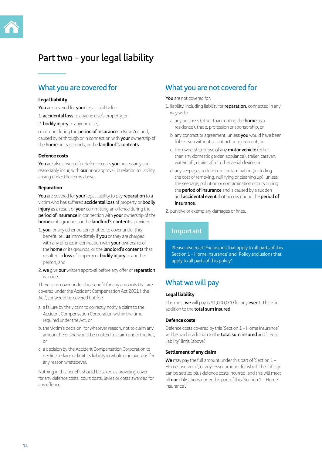## **Part two – your legal liability**

### **What you are covered for**

#### **Legal liability**

**You** are covered for **your** legal liability for:

- 1. **accidental loss** to anyone else's property, or
- 2. **bodily injury** to anyone else,

occurring during the **period of insurance** in New Zealand, caused by or through or in connection with **your** ownership of the **home** or its grounds, or the **landlord's contents**.

#### **Defence costs**

**You** are also covered for defence costs **you** necessarily and reasonably incur, with **our** prior approval, in relation to liability arising under the items above.

#### **Reparation**

**You** are covered for **your** legal liability to pay **reparation** to a victim who has suffered **accidental loss** of property or **bodily injury** as a result of **your** committing an offence during the **period of insurance** in connection with **your** ownership of the **home** or its grounds, or the **landlord's contents**, provided:

- 1. **you**, or any other person entitled to cover under this benefit, tell **us** immediately if **you** or they are charged with any offence in connection with **your** ownership of the **home** or its grounds, or the **landlord's contents** that resulted in **loss** of property or **bodily injury** to another person, and
- 2. **we** give **our** written approval before any offer of **reparation** is made.

There is no cover under this benefit for any amounts that are covered under the Accident Compensation Act 2001 ('the Act'), or would be covered but for:

- a. a failure by the victim to correctly notify a claim to the Accident Compensation Corporation within the time required under the Act, or
- b. the victim's decision, for whatever reason, not to claim any amount he or she would be entitled to claim under the Act, or
- c. a decision by the Accident Compensation Corporation to decline a claim or limit its liability in whole or in part and for any reason whatsoever.

Nothing in this benefit should be taken as providing cover for any defence costs, court costs, levies or costs awarded for any offence.

### **What you are not covered for**

#### **You** are not covered for:

- 1. liability, including liability for **reparation**, connected in any way with:
	- a. any business (other than renting the **home** as a residence), trade, profession or sponsorship, or
	- b. any contract or agreement, unless **you** would have been liable even without a contract or agreement, or
	- c. the ownership or use of any **motor vehicle** (other than any domestic garden appliance), trailer, caravan, watercraft, or aircraft or other aerial device, or
	- d. any seepage, pollution or contamination (including the cost of removing, nullifying or cleaning up), unless the seepage, pollution or contamination occurs during the **period of insurance** and is caused by a sudden and **accidental event** that occurs during the **period of insurance**.

2. punitive or exemplary damages or fines.

### **Important**

Please also read 'Exclusions that apply to all parts of this Section 1 – Home Insurance' and 'Policy exclusions that apply to all parts of this policy'.

### **What we will pay**

### **Legal liability**

The most **we** will pay is \$1,000,000 for any **event**. This is in addition to the **total sum insured**.

### **Defence costs**

Defence costs covered by this 'Section 1 – Home Insurance' will be paid in addition to the **total sum insured** and 'Legal liability' limit (above).

### **Settlement of any claim**

**We** may pay the full amount under this part of 'Section 1 – Home Insurance', or any lesser amount for which the liability can be settled plus defence costs incurred, and this will meet all **our** obligations under this part of this 'Section 1 – Home Insurance'.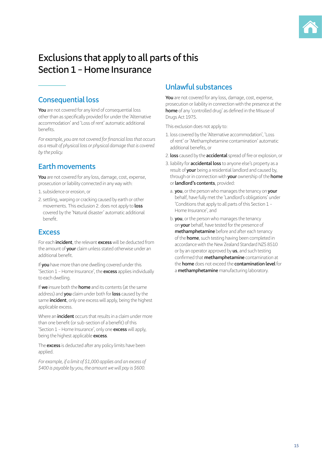

## **Exclusions that apply to all parts of this Section 1 – Home Insurance**

### **Consequential loss**

**You** are not covered for any kind of consequential loss other than as specifically provided for under the 'Alternative accommodation' and 'Loss of rent' automatic additional benefits.

*For example, you are not covered for financial loss that occurs as a result of physical loss or physical damage that is covered by the policy.*

### **Earth movements**

**You** are not covered for any loss, damage, cost, expense, prosecution or liability connected in any way with:

- 1. subsidence or erosion, or
- 2. settling, warping or cracking caused by earth or other movements. This exclusion 2. does not apply to **loss** covered by the 'Natural disaster' automatic additional benefit.

### **Excess**

For each **incident**, the relevant **excess** will be deducted from the amount of **your** claim unless stated otherwise under an additional benefit.

If **you** have more than one dwelling covered under this 'Section 1 – Home Insurance', the **excess** applies individually to each dwelling.

If **we** insure both the **home** and its contents (at the same address) and **you** claim under both for **loss** caused by the same **incident**, only one excess will apply, being the highest applicable excess.

Where an **incident** occurs that results in a claim under more than one benefit (or sub-section of a benefit) of this 'Section 1 – Home Insurance', only one **excess** will apply, being the highest applicable **excess**.

The **excess** is deducted after any policy limits have been applied.

*For example, if a limit of \$1,000 applies and an excess of \$400 is payable by you, the amount we will pay is \$600.*

### **Unlawful substances**

**You** are not covered for any loss, damage, cost, expense, prosecution or liability in connection with the presence at the **home** of any 'controlled drug' as defined in the Misuse of Drugs Act 1975.

This exclusion does not apply to:

- 1. loss covered by the 'Alternative accommodation', 'Loss of rent' or 'Methamphetamine contamination' automatic additional benefits, or
- 2. **loss** caused by the **accidental** spread of fire or explosion, or
- 3. liability for **accidental loss** to anyone else's property as a result of **your** being a residential landlord and caused by, through or in connection with **your** ownership of the **home** or **landlord's contents**, provided:
	- a. **you**, or the person who manages the tenancy on **your** behalf, have fully met the 'Landlord's obligations' under 'Conditions that apply to all parts of this Section 1 – Home Insurance', and
	- b. **you**, or the person who manages the tenancy on **your** behalf, have tested for the presence of **methamphetamine** before and after each tenancy of the **home**, such testing having been completed in accordance with the New Zealand Standard NZS 8510 or by an operator approved by **us**, and such testing confirmed that **methamphetamine** contamination at the **home** does not exceed the **contamination level** for a **methamphetamine** manufacturing laboratory.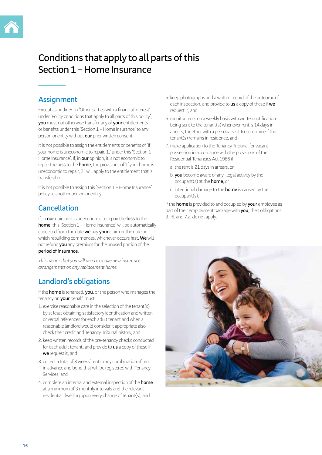## **Conditions that apply to all parts of this Section 1 – Home Insurance**

### **Assignment**

Except as outlined in 'Other parties with a financial interest' under 'Policy conditions that apply to all parts of this policy', **you** must not otherwise transfer any of **your** entitlements or benefits under this 'Section 1 – Home Insurance' to any person or entity without **our** prior written consent.

It is not possible to assign the entitlements or benefits of 'If your home is uneconomic to repair, 1.' under this 'Section 1 – Home Insurance'. If, in **our** opinion, it is not economic to repair the **loss** to the **home**, the provisions of 'If your home is uneconomic to repair, 2.' will apply to the entitlement that is transferable.

It is not possible to assign this 'Section 1 – Home Insurance' policy to another person or entity.

### **Cancellation**

If, in **our** opinion it is uneconomic to repair the **loss** to the **home**, this 'Section 1 - Home Insurance' will be automatically cancelled from the date **we** pay **your** claim or the date on which rebuilding commences, whichever occurs first. **We** will not refund **you** any premium for the unused portion of the **period of insurance**.

*This means that you will need to make new insurance arrangements on any replacement home.*

### **Landlord's obligations**

If the **home** is tenanted, **you**, or the person who manages the tenancy on **your** behalf, must:

- 1. exercise reasonable care in the selection of the tenant(s) by at least obtaining satisfactory identification and written or verbal references for each adult tenant and when a reasonable landlord would consider it appropriate also check their credit and Tenancy Tribunal history, and
- 2. keep written records of the pre-tenancy checks conducted for each adult tenant, and provide to **us** a copy of these if **we** request it, and
- 3. collect a total of 3 weeks' rent in any combination of rent in advance and bond that will be registered with Tenancy Services, and
- 4. complete an internal and external inspection of the **home** at a minimum of 3 monthly intervals and the relevant residential dwelling upon every change of tenant(s), and
- 5. keep photographs and a written record of the outcome of each inspection, and provide to **us** a copy of these if **we** request it, and
- 6. monitor rents on a weekly basis with written notification being sent to the tenant(s) whenever rent is 14 days in arrears, together with a personal visit to determine if the tenant(s) remains in residence, and
- 7. make application to the Tenancy Tribunal for vacant possession in accordance with the provisions of the Residential Tenancies Act 1986 if:
	- a. the rent is 21 days in arrears, or
	- b. **you** become aware of any illegal activity by the occupant(s) at the **home**, or
	- c. intentional damage to the **home** is caused by the occupant(s).

If the **home** is provided to and occupied by **your** employee as part of their employment package with **you**, then obligations 3., 6. and 7.a. do not apply.

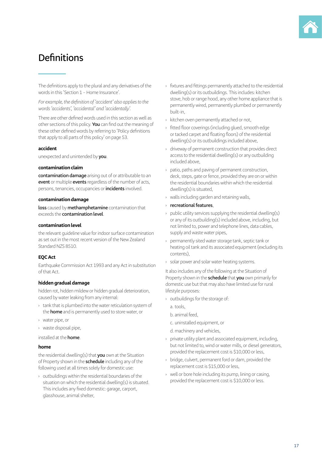## **Definitions**

The definitions apply to the plural and any derivatives of the words in this 'Section 1 – Home Insurance'.

*For example, the definition of 'accident' also applies to the words 'accidents', 'accidental' and 'accidentally'.*

There are other defined words used in this section as well as other sections of this policy. **You** can find out the meaning of these other defined words by referring to 'Policy definitions that apply to all parts of this policy' on page 53.

#### **accident**

unexpected and unintended by **you**.

#### **contamination claim**

**contamination damage** arising out of or attributable to an **event** or multiple **events** regardless of the number of acts, persons, tenancies, occupancies or **incidents** involved.

### **contamination damage**

**loss** caused by **methamphetamine** contamination that exceeds the **contamination level**.

#### **contamination level**

the relevant guideline value for indoor surface contamination as set out in the most recent version of the New Zealand Standard NZS 8510.

### **EQC Act**

Earthquake Commission Act 1993 and any Act in substitution of that Act.

### **hidden gradual damage**

hidden rot, hidden mildew or hidden gradual deterioration, caused by water leaking from any internal:

- › tank that is plumbed into the water reticulation system of the **home** and is permanently used to store water, or
- › water pipe, or
- › waste disposal pipe,

installed at the **home**.

### **home**

the residential dwelling(s) that **you** own at the Situation of Property shown in the **schedule** including any of the following used at all times solely for domestic use:

› outbuildings within the residential boundaries of the situation on which the residential dwelling(s) is situated. This includes any fixed domestic: garage, carport, glasshouse, animal shelter,

- › fixtures and fittings permanently attached to the residential dwelling(s) or its outbuildings. This includes: kitchen stove, hob or range hood, any other home appliance that is permanently wired, permanently plumbed or permanently built-in,
- › kitchen oven permanently attached or not,
- fitted floor coverings (including glued, smooth edge or tacked carpet and floating floors) of the residential dwelling(s) or its outbuildings included above,
- › driveway of permanent construction that provides direct access to the residential dwelling(s) or any outbuilding included above,
- patio, paths and paving of permanent construction, deck, steps, gate or fence, provided they are on or within the residential boundaries within which the residential dwelling(s) is situated,
- › walls including garden and retaining walls,
- › **recreational features**,
- $\rightarrow$  public utility services supplying the residential dwelling(s) or any of its outbuilding(s) included above, including, but not limited to, power and telephone lines, data cables, supply and waste water pipes,
- › permanently sited water storage tank, septic tank or heating oil tank and its associated equipment (excluding its contents),
- › solar power and solar water heating systems.

It also includes any of the following at the Situation of Property shown in the **schedule** that **you** own primarily for domestic use but that may also have limited use for rural lifestyle purposes:

- › outbuildings for the storage of:
	- a. tools,
	- b. animal feed,
	- c. uninstalled equipment, or
	- d. machinery and vehicles,
- › private utility plant and associated equipment, including, but not limited to, wind or water mills, or diesel generators, provided the replacement cost is \$10,000 or less,
- › bridge, culvert, permanent ford or dam, provided the replacement cost is \$15,000 or less,
- › well or bore hole including its pump, lining or casing, provided the replacement cost is \$10,000 or less.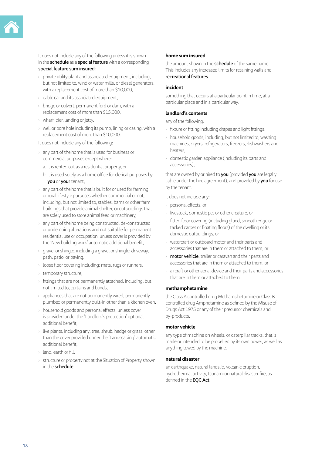

It does not include any of the following unless it is shown in the **schedule** as a **special feature** with a corresponding **special feature sum insured**:

- › private utility plant and associated equipment, including, but not limited to, wind or water mills, or diesel generators, with a replacement cost of more than \$10,000,
- › cable car and its associated equipment,
- › bridge or culvert, permanent ford or dam, with a replacement cost of more than \$15,000,
- › wharf, pier, landing or jetty,
- › well or bore hole including its pump, lining or casing, with a replacement cost of more than \$10,000.

It does not include any of the following:

- › any part of the home that is used for business or commercial purposes except where:
	- a. it is rented out as a residential property, or
	- b. it is used solely as a home office for clerical purposes by **you** or **your** tenant,
- › any part of the home that is built for or used for farming or rural lifestyle purposes whether commercial or not, including, but not limited to, stables, barns or other farm buildings that provide animal shelter, or outbuildings that are solely used to store animal feed or machinery,
- › any part of the home being constructed, de-constructed or undergoing alterations and not suitable for permanent residential use or occupation, unless cover is provided by the 'New building work' automatic additional benefit,
- › gravel or shingle, including a gravel or shingle: driveway, path, patio, or paving,
- › loose floor covering including: mats, rugs or runners,
- › temporary structure,
- › fittings that are not permanently attached, including, but not limited to, curtains and blinds,
- › appliances that are not permanently wired, permanently plumbed or permanently built-in other than a kitchen oven,
- › household goods and personal effects, unless cover is provided under the 'Landlord's protection' optional additional benefit,
- › live plants, including any: tree, shrub, hedge or grass, other than the cover provided under the 'Landscaping' automatic additional benefit,
- › land, earth or fill,
- › structure or property not at the Situation of Property shown in the **schedule**.

#### **home sum insured**

the amount shown in the **schedule** of the same name. This includes any increased limits for retaining walls and **recreational features**.

#### **incident**

something that occurs at a particular point in time, at a particular place and in a particular way.

#### **landlord's contents**

any of the following:

- › fixture or fitting including drapes and light fittings,
- › household goods, including, but not limited to, washing machines, dryers, refrigerators, freezers, dishwashers and heaters,
- › domestic garden appliance (including its parts and accessories),

that are owned by or hired to **you** (provided **you** are legally liable under the hire agreement), and provided by **you** for use by the tenant.

It does not include any:

- › personal effects, or
- › livestock, domestic pet or other creature, or
- › fitted floor covering (including glued, smooth edge or tacked carpet or floating floors) of the dwelling or its domestic outbuildings, or
- › watercraft or outboard motor and their parts and accessories that are in them or attached to them, or
- › **motor vehicle**, trailer or caravan and their parts and accessories that are in them or attached to them, or
- › aircraft or other aerial device and their parts and accessories that are in them or attached to them.

### **methamphetamine**

the Class A controlled drug Methamphetamine or Class B controlled drug Amphetamine as defined by the Misuse of Drugs Act 1975 or any of their precursor chemicals and by-products.

### **motor vehicle**

any type of machine on wheels, or caterpillar tracks, that is made or intended to be propelled by its own power, as well as anything towed by the machine.

### **natural disaster**

an earthquake, natural landslip, volcanic eruption, hydrothermal activity, tsunami or natural disaster fire, as defined in the **EQC Act**.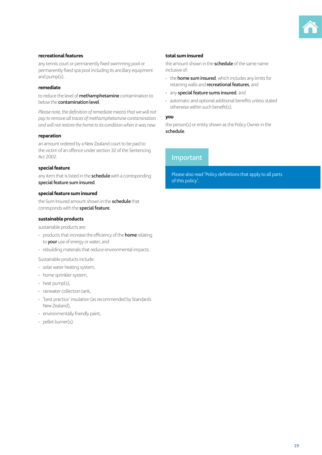

#### **recreational features**

any tennis court or permanently fixed swimming pool or permanently fixed spa pool including its ancillary equipment and pump(s).

### **remediate**

to reduce the level of **methamphetamine** contamination to below the **contamination level**.

*Please note, the definition of remediate means that we will not pay to remove all traces of methamphetamine contamination and will not restore the home to its condition when it was new.*

#### **reparation**

an amount ordered by a New Zealand court to be paid to the victim of an offence under section 32 of the Sentencing Act 2002.

#### **special feature**

any item that is listed in the **schedule** with a corresponding **special feature sum insured**.

#### **special feature sum insured**

the Sum Insured amount shown in the **schedule** that corresponds with the **special feature**.

#### **sustainable products**

sustainable products are:

- › products that increase the efficiency of the **home** relating to **your** use of energy or water, and
- › rebuilding materials that reduce environmental impacts.

Sustainable products include:

- › solar water heating system,
- › home sprinkler system,
- › heat pump(s),
- › rainwater collection tank,
- › 'best practice' insulation (as recommended by Standards New Zealand),
- › environmentally friendly paint,
- › pellet burner(s).

#### **total sum insured**

the amount shown in the **schedule** of the same name inclusive of:

- › the **home sum insured**, which includes any limits for retaining walls and **recreational features**, and
- › any **special feature sums insured**, and
- › automatic and optional additional benefits unless stated otherwise within such benefit(s).

#### **you**

the person(s) or entity shown as the Policy Owner in the **schedule**.

### **Important**

Please also read 'Policy definitions that apply to all parts of this policy'.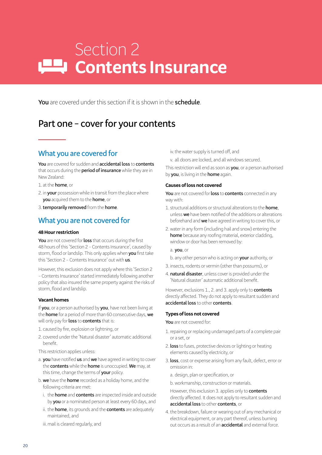# Section 2 **Contents Insurance**

**You** are covered under this section if it is shown in the **schedule**.

## **Part one – cover for your contents**

### **What you are covered for**

**You** are covered for sudden and **accidental loss** to **contents** that occurs during the **period of insurance** while they are in New Zealand:

1. at the **home**, or

- 2. in **your** possession while in transit from the place where **you** acquired them to the **home**, or
- 3.**temporarily removed** from the **home**.

### **What you are not covered for**

### **48 Hour restriction**

**You** are not covered for **loss** that occurs during the first 48 hours of this 'Section 2 – Contents Insurance', caused by storm, flood or landslip. This only applies when **you** first take this 'Section 2 – Contents Insurance' out with **us**.

However, this exclusion does not apply where this 'Section 2 – Contents Insurance' started immediately following another policy that also insured the same property against the risks of storm, flood and landslip.

### **Vacant homes**

If **you**, or a person authorised by **you**, have not been living at the **home** for a period of more than 60 consecutive days, **we** will only pay for **loss** to **contents** that is:

- 1. caused by fire, explosion or lightning, or
- 2. covered under the 'Natural disaster' automatic additional benefit.
- This restriction applies unless:
- a. **you** have notified **us** and **we** have agreed in writing to cover the **contents** while the **home** is unoccupied. **We** may, at this time, change the terms of **your** policy.
- b. **we** have the **home** recorded as a holiday home, and the following criteria are met:
	- i. the **home** and **contents** are inspected inside and outside by **you** or a nominated person at least every 60 days, and
	- ii. the **home**, its grounds and the **contents** are adequately maintained, and
	- iii. mail is cleared regularly, and

iv. the water supply is turned off, and

v. all doors are locked, and all windows secured.

This restriction will end as soon as **you**, or a person authorised by **you**, is living in the **home** again.

### **Causes of loss not covered**

**You** are not covered for **loss** to **contents** connected in any way with:

- 1. structural additions or structural alterations to the **home**, unless **we** have been notified of the additions or alterations beforehand and **we** have agreed in writing to cover this, or
- 2.water in any form (including hail and snow) entering the **home** because any roofing material, exterior cladding, window or door has been removed by:

a. **you**, or

- b. any other person who is acting on **your** authority, or
- 3. insects, rodents or vermin (other than possums), or
- 4. **natural disaster**, unless cover is provided under the 'Natural disaster' automatic additional benefit.

However, exclusions 1., 2. and 3. apply only to **contents** directly affected. They do not apply to resultant sudden and **accidental loss** to other **contents**.

### **Types of loss not covered**

**You** are not covered for:

- 1.repairing or replacing undamaged parts of a complete pair or a set, or
- 2. **loss** to fuses, protective devices or lighting or heating elements caused by electricity, or
- 3. **loss**, cost or expense arising from any fault, defect, error or omission in:
	- a. design, plan or specification, or
	- b. workmanship, construction or materials.
	- However, this exclusion 3. applies only to **contents** directly affected. It does not apply to resultant sudden and **accidental loss** to other **contents**, or
- 4.the breakdown, failure or wearing out of any mechanical or electrical equipment, or any part thereof, unless burning out occurs as a result of an **accidental** and external force.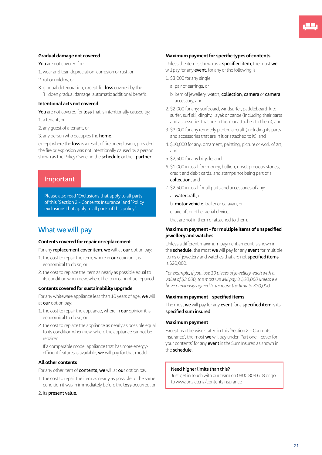### **Gradual damage not covered**

**You** are not covered for:

- 1.wear and tear, depreciation, corrosion or rust, or
- 2.rot or mildew, or
- 3. gradual deterioration, except for **loss** covered by the 'Hidden gradual damage' automatic additional benefit.

### **Intentional acts not covered**

**You** are not covered for **loss** that is intentionally caused by:

1. a tenant, or

- 2. any guest of a tenant, or
- 3. any person who occupies the **home**,

except where the **loss** is a result of fire or explosion, provided the fire or explosion was not intentionally caused by a person shown as the Policy Owner in the **schedule** or their **partner**.

### **Important**

Please also read 'Exclusions that apply to all parts of this 'Section 2 – Contents Insurance' and 'Policy exclusions that apply to all parts of this policy'.

### **What we will pay**

#### **Contents covered for repair or replacement**

For any **replacement cover item**, **we** will at **our** option pay:

- 1.the cost to repair the item, where in **our** opinion it is economical to do so, or
- 2.the cost to replace the item as nearly as possible equal to its condition when new, where the item cannot be repaired.

#### **Contents covered for sustainability upgrade**

For any whiteware appliance less than 10 years of age, **we** will at **our** option pay:

- 1.the cost to repair the appliance, where in **our** opinion it is economical to do so, or
- 2.the cost to replace the appliance as nearly as possible equal to its condition when new, where the appliance cannot be repaired.

If a comparable model appliance that has more energyefficient features is available, **we** will pay for that model.

#### **All other contents**

For any other item of **contents**, **we** will at **our** option pay:

- 1.the cost to repair the item as nearly as possible to the same condition it was in immediately before the **loss** occurred, or
- 2. its **present value**.

#### **Maximum payment for specific types of contents**

Unless the item is shown as a **specified item**, the most **we** will pay for any **event**, for any of the following is:

- 1. \$3,000 for any single:
	- a. pair of earrings, or
	- b. item of jewellery, watch, **collection**, **camera** or **camera** accessory, and
- 2. \$2,000 for any: surfboard, windsurfer, paddleboard, kite surfer, surf ski, dinghy, kayak or canoe (including their parts and accessories that are in them or attached to them), and
- 3. \$3,000 for any remotely piloted aircraft (including its parts and accessories that are in it or attached to it), and
- 4. \$10,000 for any: ornament, painting, picture or work of art, and
- 5. \$2,500 for any bicycle, and
- 6. \$1,000 in total for: money, bullion, unset precious stones, credit and debit cards, and stamps not being part of a **collection**, and
- 7. \$2,500 in total for all parts and accessories of any:
	- a. **watercraft**, or
	- b. **motor vehicle**, trailer or caravan, or
	- c. aircraft or other aerial device,

that are not in them or attached to them.

### **Maximum payment – for multiple items of unspecified jewellery and watches**

Unless a different maximum payment amount is shown in the **schedule**, the most **we** will pay for any **event** for multiple items of jewellery and watches that are not **specified items** is \$20,000.

*For example, if you lose 10 pieces of jewellery, each with a value of \$3,000, the most we will pay is \$20,000 unless we have previously agreed to increase the limit to \$30,000.*

#### **Maximum payment – specified items**

The most **we** will pay for any **event** for a **specified item** is its **specified sum insured**.

### **Maximum payment**

Except as otherwise stated in this 'Section 2 – Contents Insurance', the most **we** will pay under 'Part one – cover for your contents' for any **event** is the Sum Insured as shown in the **schedule**.

### **Need higher limits than this?**

Just get in touch with our team on 0800 808 618 or go to www.bnz.co.nz/contentsinsurance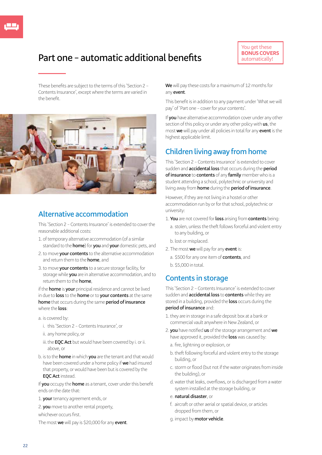## **Part one – automatic additional benefits**

These benefits are subject to the terms of this 'Section 2 – Contents Insurance', except where the terms are varied in the benefit.



### **Alternative accommodation**

This 'Section 2 – Contents Insurance' is extended to cover the reasonable additional costs:

- 1. of temporary alternative accommodation (of a similar standard to the **home**) for **you** and **your** domestic pets, and
- 2.to move **your contents** to the alternative accommodation and return them to the **home**, and
- 3.to move **your contents** to a secure storage facility, for storage while **you** are in alternative accommodation, and to return them to the **home**,

if the **home** is **your** principal residence and cannot be lived in due to **loss** to the **home** or to **your contents** at the same **home** that occurs during the same **period of insurance** where the **loss**:

- a. is covered by:
	- i. this 'Section 2 Contents Insurance', or
	- ii. any home policy, or
	- iii. the **EQC Act** but would have been covered by i. or ii. above, or
- b. is to the **home** in which **you** are the tenant and that would have been covered under a home policy if **we** had insured that property, or would have been but is covered by the **EQC Act** instead.

If **you** occupy the **home** as a tenant, cover under this benefit ends on the date that:

- 1. **your** tenancy agreement ends, or
- 2. **you** move to another rental property,

whichever occurs first.

The most **we** will pay is \$20,000 for any **event**.

**We** will pay these costs for a maximum of 12 months for any **event**.

This benefit is in addition to any payment under 'What we will pay' of 'Part one – cover for your contents'.

If **you** have alternative accommodation cover under any other section of this policy or under any other policy with **us**, the most **we** will pay under all policies in total for any **event** is the highest applicable limit.

### **Children living away from home**

This 'Section 2 – Contents Insurance' is extended to cover sudden and **accidental loss** that occurs during the **period of insurance** to **contents** of any **family** member who is a student attending a school, polytechnic or university and living away from **home** during the **period of insurance**.

However, if they are not living in a hostel or other accommodation run by or for that school, polytechnic or university:

### 1.**You** are not covered for **loss** arising from **contents** being:

- a. stolen, unless the theft follows forceful and violent entry to any building, or
- b. lost or misplaced.
- 2. The most **we** will pay for any **event** is:
	- a. \$500 for any one item of **contents**, and
	- b. \$5,000 in total.

### **Contents in storage**

This 'Section 2 – Contents Insurance' is extended to cover sudden and **accidental loss** to **contents** while they are stored in a building, provided the **loss** occurs during the **period of insurance** and:

- 1.they are in storage in a safe deposit box at a bank or commercial vault anywhere in New Zealand, or
- 2. **you** have notified **us** of the storage arrangement and **we** have approved it, provided the **loss** was caused by:
	- a. fire, lightning or explosion, or
	- b. theft following forceful and violent entry to the storage building, or
	- c. storm or flood (but not if the water originates from inside the building), or
	- d.water that leaks, overflows, or is discharged from a water system installed at the storage building, or

#### e. **natural disaster**, or

- f. aircraft or other aerial or spatial device, or articles dropped from them, or
- g. impact by **motor vehicle**.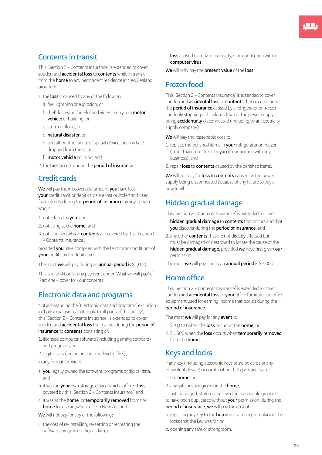## **Contents in transit**

This 'Section 2 – Contents Insurance' is extended to cover sudden and **accidental loss** to **contents** while in transit from the **home** to any permanent residence in New Zealand, provided:

1.the **loss** is caused by any of the following:

- a. fire, lightning or explosion, or
- b. theft following forceful and violent entry to a **motor vehicle** or building, or
- c. storm or flood, or
- d. **natural disaster**, or
- e. aircraft or other aerial or spatial device, or an article dropped from them, or
- f. **motor vehicle** collision, and

2.the **loss** occurs during the **period of insurance**.

### **Credit cards**

**We** will pay the irrecoverable amount **you** have lost, if **your** credit cards or debit cards are lost or stolen and used fraudulently during the **period of insurance** by any person who is:

- 1. not related to **you**, and
- 2. not living at the **home**, and
- 3. not a person whose **contents** are covered by this 'Section 2 – Contents Insurance',

provided **you** have complied with the terms and conditions of **your** credit card or debit card.

The most **we** will pay during an **annual period** is \$1,000.

This is in addition to any payment under 'What we will pay' of 'Part one – cover for your contents'.

### **Electronic data and programs**

Notwithstanding the 'Electronic data and programs' exclusion in 'Policy exclusions that apply to all parts of this policy', this 'Section 2 – Contents Insurance' is extended to cover sudden and **accidental loss** that occurs during the **period of insurance** to **contents** consisting of:

- 1. licensed computer software (including gaming software) and programs, or
- 2. digital data (including audio and video files),
- in any format, provided:
- a. **you** legally owned the software, programs or digital data, and
- b. it was on **your** own storage device which suffered **loss** covered by this 'Section 2 – Contents Insurance', and
- c. it was at the **home**, or **temporarily removed** from the **home** for use anywhere else in New Zealand.

**We** will not pay for any of the following:

i. the cost of re-installing, re-setting or recreating the software, program or digital data, or

ii. **loss** caused directly or indirectly, or in connection with a **computer virus**.

**We** will only pay the **present value** of the **loss**.

### **Frozen food**

This 'Section 2 – Contents Insurance' is extended to cover sudden and **accidental loss** to **contents** that occurs during the **period of insurance** caused by a refrigerator or freezer suddenly stopping or breaking down or the power supply being **accidentally** disconnected (including by an electricity supply company).

**We** will pay the reasonable cost to:

- 1.replace the perished items in **your** refrigerator or freezer (other than items kept by **you** in connection with any business), and
- 2.repair **loss** to **contents** caused by the perished items.

**We** will not pay for **loss** to **contents** caused by the power supply being disconnected because of any failure to pay a power bill.

### **Hidden gradual damage**

This 'Section 2 – Contents Insurance' is extended to cover:

- 1. **hidden gradual damage** to **contents** that occurs and that **you** discover during the **period of insurance**, and
- 2. any other **contents** that are not directly affected but must be damaged or destroyed to locate the cause of the **hidden gradual damage**, provided **we** have first given **our** permission.
- The most **we** will pay during an **annual period** is \$3,000.

### **Home office**

This 'Section 2 – Contents Insurance' is extended to cover sudden and **accidental loss** to **your** office furniture and office equipment used for earning income that occurs during the **period of insurance**.

The most **we** will pay for any **event** is:

- 1. \$10,000 when the **loss** occurs at the **home**, or
- 2. \$1,500 when the **loss** occurs when **temporarily removed** from the **home**.

### **Keys and locks**

If any key (including electronic keys or swipe cards or any equivalent device) or combination that gives access to:

### 1.the **home**, or

2. any safe or strongroom in the **home**,

is lost, damaged, stolen or believed on reasonable grounds to have been duplicated without **your** permission, during the **period of insurance**, **we** will pay the cost of:

- a. replacing any key to the **home** and altering or replacing the locks that the key was for, or
- b. opening any safe or strongroom.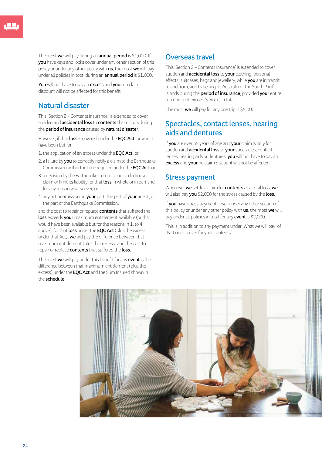The most **we** will pay during an **annual period** is \$1,000. If **you** have keys and locks cover under any other section of this policy or under any other policy with **us**, the most **we** will pay under all policies in total during an **annual period** is \$1,000.

**You** will not have to pay an **excess** and **your** no claim discount will not be affected for this benefit.

### **Natural disaster**

This 'Section 2 – Contents Insurance' is extended to cover sudden and **accidental loss** to **contents** that occurs during the **period of insurance** caused by **natural disaster**.

However, if that **loss** is covered under the **EQC Act**, or would have been but for:

- 1.the application of an excess under the **EQC Act**, or
- 2. a failure by **you** to correctly notify a claim to the Earthquake Commission within the time required under the **EQC Act**, or
- 3. a decision by the Earthquake Commission to decline a claim or limit its liability for that **loss** in whole or in part and for any reason whatsoever, or
- 4. any act or omission on **your** part, the part of **your** agent, or the part of the Earthquake Commission,

and the cost to repair or replace **contents** that suffered the **loss** exceeds **your** maximum entitlement available (or that would have been available but for the reasons in 1. to 4. above), for that **loss** under the **EQC Act** (plus the excess under that Act), **we** will pay the difference between that maximum entitlement (plus that excess) and the cost to repair or replace **contents** that suffered the **loss**.

The most **we** will pay under this benefit for any **event** is the difference between that maximum entitlement (plus the excess) under the **EQC Act** and the Sum Insured shown in the **schedule**.

### **Overseas travel**

This 'Section 2 – Contents Insurance' is extended to cover sudden and **accidental loss** to **your** clothing, personal effects, suitcases, bags and jewellery, while **you** are in transit to and from, and travelling in, Australia or the South Pacific Islands during the **period of insurance**, provided **your** entire trip does not exceed 3 weeks in total.

The most **we** will pay for any one trip is \$5,000.

### **Spectacles, contact lenses, hearing aids and dentures**

If **you** are over 55 years of age and **your** claim is only for sudden and **accidental loss** to **your** spectacles, contact lenses, hearing aids or dentures, **you** will not have to pay an **excess** and **your** no claim discount will not be affected.

### **Stress payment**

Whenever **we** settle a claim for **contents** as a total loss, **we** will also pay **you** \$2,000 for the stress caused by the **loss**.

If **you** have stress payment cover under any other section of this policy or under any other policy with **us**, the most **we** will pay under all policies in total for any **event** is \$2,000.

This is in addition to any payment under 'What we will pay' of 'Part one – cover for your contents'.

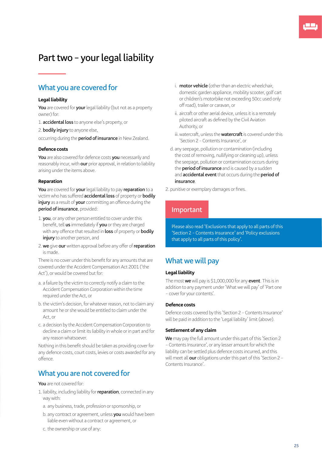## **Part two – your legal liability**

### **What you are covered for**

#### **Legal liability**

**You** are covered for **your** legal liability (but not as a property owner) for:

- 1. **accidental loss** to anyone else's property, or
- 2. **bodily injury** to anyone else,

occurring during the **period of insurance** in New Zealand.

#### **Defence costs**

**You** are also covered for defence costs **you** necessarily and reasonably incur, with **our** prior approval, in relation to liability arising under the items above.

#### **Reparation**

**You** are covered for **your** legal liability to pay **reparation** to a victim who has suffered **accidental loss** of property or **bodily injury** as a result of **your** committing an offence during the **period of insurance**, provided:

- 1. **you**, or any other person entitled to cover under this benefit, tell **us** immediately if **you** or they are charged with any offence that resulted in **loss** of property or **bodily injury** to another person, and
- 2. **we** give **our** written approval before any offer of **reparation** is made.

There is no cover under this benefit for any amounts that are covered under the Accident Compensation Act 2001 ('the Act'), or would be covered but for:

- a. a failure by the victim to correctly notify a claim to the Accident Compensation Corporation within the time required under the Act, or
- b. the victim's decision, for whatever reason, not to claim any amount he or she would be entitled to claim under the Act, or
- c. a decision by the Accident Compensation Corporation to decline a claim or limit its liability in whole or in part and for any reason whatsoever.

Nothing in this benefit should be taken as providing cover for any defence costs, court costs, levies or costs awarded for any offence.

### **What you are not covered for**

**You** are not covered for:

- 1. liability, including liability for **reparation**, connected in any way with:
	- a. any business, trade, profession or sponsorship, or
	- b. any contract or agreement, unless **you** would have been liable even without a contract or agreement, or
	- c. the ownership or use of any:
- i. **motor vehicle** (other than an electric wheelchair, domestic garden appliance, mobility scooter, golf cart or children's motorbike not exceeding 50cc used only off road), trailer or caravan, or
- ii. aircraft or other aerial device, unless it is a remotely piloted aircraft as defined by the Civil Aviation Authority, or
- iii. watercraft, unless the **watercraft** is covered under this 'Section 2 – Contents Insurance', or
- d. any seepage, pollution or contamination (including the cost of removing, nullifying or cleaning up), unless the seepage, pollution or contamination occurs during the **period of insurance** and is caused by a sudden and **accidental event** that occurs during the **period of insurance**.
- 2. punitive or exemplary damages or fines.

### **Important**

Please also read 'Exclusions that apply to all parts of this 'Section 2 – Contents Insurance' and 'Policy exclusions that apply to all parts of this policy'.

### **What we will pay**

#### **Legal liability**

The most **we** will pay is \$1,000,000 for any **event**. This is in addition to any payment under 'What we will pay' of 'Part one – cover for your contents'.

### **Defence costs**

Defence costs covered by this 'Section 2 – Contents Insurance' will be paid in addition to the 'Legal liability' limit (above).

#### **Settlement of any claim**

**We** may pay the full amount under this part of this 'Section 2 – Contents Insurance', or any lesser amount for which the liability can be settled plus defence costs incurred, and this will meet all **our** obligations under this part of this 'Section 2 – Contents Insurance'.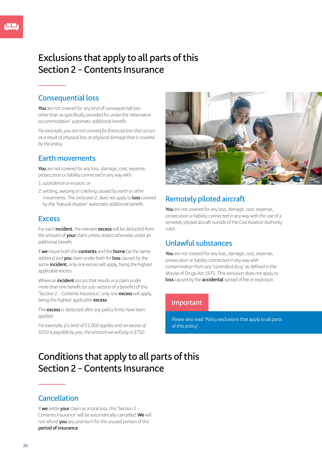## **Exclusions that apply to all parts of this Section 2 – Contents Insurance**

### **Consequential loss**

**You** are not covered for any kind of consequential loss other than as specifically provided for under the 'Alternative accommodation' automatic additional benefit.

*For example, you are not covered for financial loss that occurs as a result of physical loss or physical damage that is covered by the policy.*

### **Earth movements**

**You** are not covered for any loss, damage, cost, expense, prosecution or liability connected in any way with:

- 1. subsidence or erosion, or
- 2. settling, warping or cracking caused by earth or other movements. This exclusion 2. does not apply to **loss** covered by the 'Natural disaster' automatic additional benefit.

### **Excess**

For each **incident**, the relevant **excess** will be deducted from the amount of **your** claim unless stated otherwise under an additional benefit.

If **we** insure both the **contents** and the **home** (at the same address) and **you** claim under both for **loss** caused by the same **incident**, only one excess will apply, being the highest applicable excess.

Where an **incident** occurs that results in a claim under more than one benefit (or sub-section of a benefit) of this 'Section 2 – Contents Insurance', only one **excess** will apply, being the highest applicable **excess**.

The **excess** is deducted after any policy limits have been applied.

*For example, if a limit of \$1,000 applies and an excess of \$250 is payable by you, the amount we will pay is \$750.*



## **Remotely piloted aircraft**

**You** are not covered for any loss, damage, cost, expense, prosecution or liability connected in any way with the use of a remotely piloted aircraft outside of the Civil Aviation Authority rules.

### **Unlawful substances**

**You** are not covered for any loss, damage, cost, expense, prosecution or liability connected in any way with contamination from any 'controlled drug' as defined in the Misuse of Drugs Act 1975. This exclusion does not apply to **loss** caused by the **accidental** spread of fire or explosion.

### **Important**

Please also read 'Policy exclusions that apply to all parts of this policy'.

## **Conditions that apply to all parts of this Section 2 – Contents Insurance**

### **Cancellation**

If **we** settle **your** claim as a total loss, this 'Section 2 – Contents Insurance' will be automatically cancelled. **We** will not refund **you** any premium for the unused portion of the **period of insurance**.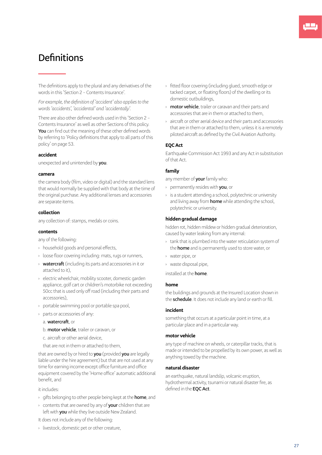## **Definitions**

The definitions apply to the plural and any derivatives of the words in this 'Section 2 – Contents Insurance'.

*For example, the definition of 'accident' also applies to the words 'accidents', 'accidental' and 'accidentally'.*

There are also other defined words used in this 'Section 2 – Contents Insurance' as well as other Sections of this policy. **You** can find out the meaning of these other defined words by referring to 'Policy definitions that apply to all parts of this policy' on page 53.

#### **accident**

unexpected and unintended by **you**.

#### **camera**

the camera body (film, video or digital) and the standard lens that would normally be supplied with that body at the time of the original purchase. Any additional lenses and accessories are separate items.

#### **collection**

any collection of: stamps, medals or coins.

#### **contents**

any of the following:

- › household goods and personal effects,
- › loose floor covering including: mats, rugs or runners,
- › **watercraft** (including its parts and accessories in it or attached to it),
- › electric wheelchair, mobility scooter, domestic garden appliance, golf cart or children's motorbike not exceeding 50cc that is used only off road (including their parts and accessories),
- › portable swimming pool or portable spa pool,
- › parts or accessories of any:
	- a. **watercraft**, or
	- b. **motor vehicle**, trailer or caravan, or
	- c. aircraft or other aerial device,
	- that are not in them or attached to them,

that are owned by or hired to **you** (provided **you** are legally liable under the hire agreement) but that are not used at any time for earning income except office furniture and office equipment covered by the 'Home office' automatic additional benefit, and

it includes:

- › gifts belonging to other people being kept at the **home**, and
- › contents that are owned by any of **your** children that are left with **you** while they live outside New Zealand.
- It does not include any of the following:
- › livestock, domestic pet or other creature,
- › fitted floor covering (including glued, smooth edge or tacked carpet, or floating floors) of the dwelling or its domestic outbuildings,
- › **motor vehicle**, trailer or caravan and their parts and accessories that are in them or attached to them,
- aircraft or other aerial device and their parts and accessories that are in them or attached to them, unless it is a remotely piloted aircraft as defined by the Civil Aviation Authority.

#### **EQC Act**

Earthquake Commission Act 1993 and any Act in substitution of that Act.

#### **family**

any member of **your** family who:

- › permanently resides with **you**, or
- › is a student attending a school, polytechnic or university and living away from **home** while attending the school, polytechnic or university.

#### **hidden gradual damage**

hidden rot, hidden mildew or hidden gradual deterioration, caused by water leaking from any internal:

- › tank that is plumbed into the water reticulation system of the **home** and is permanently used to store water, or
- › water pipe, or
- › waste disposal pipe,

installed at the **home**.

#### **home**

the buildings and grounds at the Insured Location shown in the **schedule**. It does not include any land or earth or fill.

#### **incident**

something that occurs at a particular point in time, at a particular place and in a particular way.

#### **motor vehicle**

any type of machine on wheels, or caterpillar tracks, that is made or intended to be propelled by its own power, as well as anything towed by the machine.

#### **natural disaster**

an earthquake, natural landslip, volcanic eruption, hydrothermal activity, tsunami or natural disaster fire, as defined in the **EQC Act**.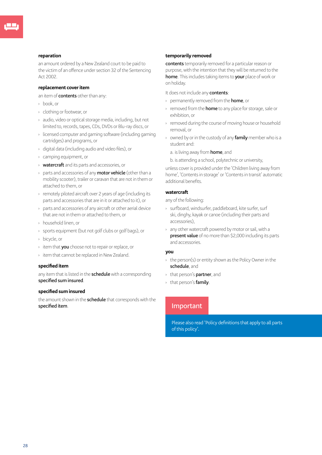#### **reparation**

an amount ordered by a New Zealand court to be paid to the victim of an offence under section 32 of the Sentencing Act 2002.

#### **replacement cover item**

an item of **contents** other than any:

- › book, or
- › clothing or footwear, or
- › audio, video or optical storage media, including, but not limited to, records, tapes, CDs, DVDs or Blu-ray discs, or
- › licensed computer and gaming software (including gaming cartridges) and programs, or
- › digital data (including audio and video files), or
- › camping equipment, or
- › **watercraft** and its parts and accessories, or
- › parts and accessories of any **motor vehicle** (other than a mobility scooter), trailer or caravan that are not in them or attached to them, or
- › remotely piloted aircraft over 2 years of age (including its parts and accessories that are in it or attached to it), or
- › parts and accessories of any aircraft or other aerial device that are not in them or attached to them, or
- › household linen, or
- › sports equipment (but not golf clubs or golf bags), or
- › bicycle, or
- › item that **you** choose not to repair or replace, or
- › item that cannot be replaced in New Zealand.

#### **specified item**

any item that is listed in the **schedule** with a corresponding **specified sum insured**.

#### **specified sum insured**

the amount shown in the **schedule** that corresponds with the **specified item**.

#### **temporarily removed**

**contents** temporarily removed for a particular reason or purpose, with the intention that they will be returned to the **home**. This includes taking items to **your** place of work or on holiday.

It does not include any **contents**:

- › permanently removed from the **home**, or
- › removed from the **home** to any place for storage, sale or exhibition, or
- › removed during the course of moving house or household removal, or
- › owned by or in the custody of any **family** member who is a student and:
	- a. is living away from **home**, and

b. is attending a school, polytechnic or university,

unless cover is provided under the 'Children living away from home', 'Contents in storage' or 'Contents in transit' automatic additional benefits.

### **watercraft**

any of the following:

- › surfboard, windsurfer, paddleboard, kite surfer, surf ski, dinghy, kayak or canoe (including their parts and accessories),
- › any other watercraft powered by motor or sail, with a **present value** of no more than \$2,000 including its parts and accessories.

### **you**

- $\rightarrow$  the person(s) or entity shown as the Policy Owner in the **schedule**, and
- › that person's **partner**, and
- › that person's **family**.

### **Important**

Please also read 'Policy definitions that apply to all parts of this policy'.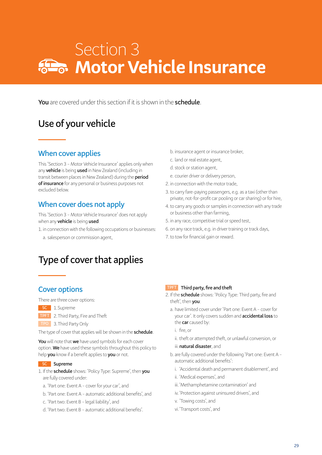# Section 3 **Motor Vehicle Insurance**

**You** are covered under this section if it is shown in the **schedule**.

## **Use of your vehicle**

### **When cover applies**

This 'Section 3 – Motor Vehicle Insurance' applies only when any **vehicle** is being **used** in New Zealand (including in transit between places in New Zealand) during the **period of insurance** for any personal or business purposes not excluded below.

### **When cover does not apply**

This 'Section 3 – Motor Vehicle Insurance' does not apply when any **vehicle** is being **used**:

- 1. in connection with the following occupations or businesses:
	- a. salesperson or commission agent,

## **Type of cover that applies**

### **Cover options**

There are three cover options:

- 1.Supreme **SC**
- 2.Third Party, Fire and Theft **TPFT**
- 3.Third Party Only **TPO**

The type of cover that applies will be shown in the **schedule**.

**You** will note that **we** have used symbols for each cover option. **We** have used these symbols throughout this policy to help **you** know if a benefit applies to **you** or not.

### **SC Supreme**

- 1. If the **schedule** shows: 'Policy Type: Supreme', then **you** are fully covered under:
	- a. 'Part one: Event A cover for your car', and
	- b. 'Part one: Event A automatic additional benefits', and
	- c. 'Part two: Event B legal liability', and
	- d. 'Part two: Event B automatic additional benefits'.
- b. insurance agent or insurance broker,
- c. land or real estate agent,
- d. stock or station agent,
- e. courier driver or delivery person,
- 2. in connection with the motor trade,
- 3.to carry fare-paying passengers, e.g. as a taxi (other than private, not-for-profit car pooling or car sharing) or for hire,
- 4.to carry any goods or samples in connection with any trade or business other than farming,
- 5. in any race, competitive trial or speed test,
- 6. on any race track, e.g. in driver training or track days,
- 7.to tow for financial gain or reward.

### **TPFT Third party, fire and theft**

- 2. If the **schedule** shows: 'Policy Type: Third party, fire and theft', then **you**:
	- a. have limited cover under 'Part one: Event A cover for your car'. It only covers sudden and **accidental loss** to the **car** caused by:
		- i. fire, or
		- ii. theft or attempted theft, or unlawful conversion, or

#### iii.**natural disaster**, and

- b. are fully covered under the following 'Part one: Event A automatic additional benefits':
	- i. 'Accidental death and permanent disablement', and
	- ii. 'Medical expenses', and
	- iii.'Methamphetamine contamination' and
	- iv. 'Protection against uninsured drivers', and
	- v. 'Towing costs', and
	- vi.'Transport costs', and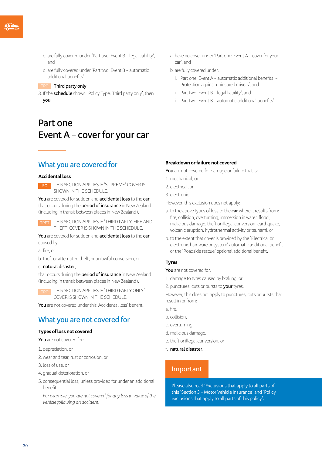- c. are fully covered under 'Part two: Event B legal liability', and
- d. are fully covered under 'Part two: Event B automatic additional benefits'.

#### **TPO Third party only**

3. If the **schedule** shows: 'Policy Type: Third party only', then **you**:

## **Part one Event A – cover for your car**

### **What you are covered for**

#### **Accidental loss**

**SC FINIS SECTION APPLIES IF 'SUPREME' COVER IS** SHOWN IN THE SCHEDULE.

**You** are covered for sudden and **accidental loss** to the **car** that occurs during the **period of insurance** in New Zealand (including in transit between places in New Zealand).

THIS SECTION APPLIES IF 'THIRD PARTY, FIRE AND THEFT' COVER IS SHOWN IN THE SCHEDULE.

**You** are covered for sudden and **accidental loss** to the **car** caused by:

a. fire, or

b. theft or attempted theft, or unlawful conversion, or

#### c. **natural disaster**,

that occurs during the **period of insurance** in New Zealand (including in transit between places in New Zealand).

THIS SECTION APPLIES IF 'THIRD PARTY ONLY' COVER IS SHOWN IN THE SCHEDULE.

**You** are not covered under this 'Accidental loss' benefit.

### **What you are not covered for**

#### **Types of loss not covered**

- **You** are not covered for:
- 1. depreciation, or
- 2.wear and tear, rust or corrosion, or
- 3. loss of use, or
- 4. gradual deterioration, or
- 5. consequential loss, unless provided for under an additional benefit.

*For example, you are not covered for any loss in value of the vehicle following an accident.*

a. have no cover under 'Part one: Event A – cover for your car', and

#### b. are fully covered under:

- i. 'Part one: Event A automatic additional benefits' 'Protection against uninsured drivers', and
- ii. 'Part two: Event B legal liability', and
- iii.'Part two: Event B automatic additional benefits'.

#### **Breakdown or failure not covered**

**You** are not covered for damage or failure that is:

- 1. mechanical, or
- 2. electrical, or
- 3. electronic.

However, this exclusion does not apply:

- a. to the above types of loss to the **car** where it results from: fire, collision, overturning, immersion in water, flood, malicious damage, theft or illegal conversion, earthquake, volcanic eruption, hydrothermal activity or tsunami, or
- b. to the extent that cover is provided by the 'Electrical or electronic hardware or system' automatic additional benefit or the 'Roadside rescue' optional additional benefit.

#### **Tyres**

**You** are not covered for:

- 1. damage to tyres caused by braking, or
- 2. punctures, cuts or bursts to **your** tyres.

However, this does not apply to punctures, cuts or bursts that result in or from:

- a. fire,
- b. collision,
- c. overturning,
- d. malicious damage,
- e. theft or illegal conversion, or
- f. **natural disaster**.

### **Important**

Please also read 'Exclusions that apply to all parts of this 'Section 3 – Motor Vehicle Insurance' and 'Policy exclusions that apply to all parts of this policy'.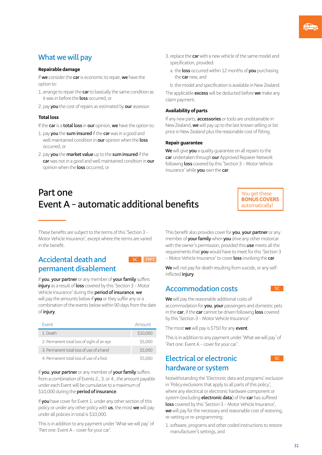### **What we will pay**

### **Repairable damage**

If **we** consider the **car** is economic to repair, **we** have the option to:

- 1. arrange to repair the **car** to basically the same condition as it was in before the **loss** occurred, or
- 2. pay **you** the cost of repairs as estimated by **our** assessor.

### **Total loss**

If the **car** is a **total loss** in **our** opinion, **we** have the option to:

- 1. pay **you** the **sum insured** if the **car** was in a good and well maintained condition in **our** opinion when the **loss** occurred, or
- 2. pay **you** the **market value** up to the **sum insured** if the **car** was not in a good and well maintained condition in **our** opinion when the **loss** occurred, or
- 3.replace the **car** with a new vehicle of the same model and specification, provided:
	- a. the **loss** occurred within 12 months of **you** purchasing the **car** new, and
	- b. the model and specification is available in New Zealand.

The applicable **excess** will be deducted before **we** make any claim payment.

### **Availability of parts**

If any new parts, **accessories** or tools are unobtainable in New Zealand, **we** will pay up to the last known selling or list price in New Zealand plus the reasonable cost of fitting.

### **Repair guarantee**

**We** will give **you** a quality guarantee on all repairs to the **car** undertaken through **our** Approved Repairer Network following **loss** covered by this 'Section 3 – Motor Vehicle Insurance' while **you** own the **car**.

## **Part one Event A – automatic additional benefits**

You get these **BONUS COVERS** automatically!

These benefits are subject to the terms of this 'Section 3 – Motor Vehicle Insurance', except where the terms are varied in the benefit.

### **Accidental death and SC FIFT permanent disablement**

If you, your partner or any member of your family suffers **injury** as a result of **loss** covered by this 'Section 3 – Motor Vehicle Insurance' during the **period of insurance**, **we**

will pay the amounts below if **you** or they suffer any or a combination of the events below within 90 days from the date of **injury**.

| <b>Event</b>                               | Amount   |
|--------------------------------------------|----------|
| 1. Death                                   | \$10,000 |
| 2. Permanent total loss of sight of an eye | \$5,000  |
| 3. Permanent total loss of use of a hand   | \$5,000  |
| 4. Permanent total loss of use of a foot   | \$5,000  |

If you, your partner or any member of your family suffers from a combination of Events 2., 3. or 4., the amount payable under each Event will be cumulative to a maximum of \$10,000 during the **period of insurance**.

If **you** have cover for Event 1. under any other section of this policy or under any other policy with **us**, the most **we** will pay under all policies in total is \$10,000.

This is in addition to any payment under 'What we will pay' of 'Part one: Event A – cover for your car'.

This benefit also provides cover for **you**, **your partner** or any member of **yourfamily** when **you** drive any other motorcar with the owner's permission, provided this **use** meets all the requirements that **you** would have to meet for this 'Section 3 – Motor Vehicle Insurance' to cover **loss** involving the **car**.

**We** will not pay for death resulting from suicide, or any selfinflicted **injury**.

## **Accommodation costs**

**We** will pay the reasonable additional costs of accommodation for **you**, **your** passengers and domestic pets in the **car**, if the **car** cannot be driven following **loss** covered by this 'Section 3 – Motor Vehicle Insurance'.

The most **we** will pay is \$750 for any **event**.

This is in addition to any payment under 'What we will pay' of 'Part one: Event A – cover for your car'.

### **Electrical or electronic hardware or system**



Notwithstanding the 'Electronic data and programs' exclusion in 'Policy exclusions that apply to all parts of this policy', where any electrical or electronic hardware component or system (excluding **electronic data**) of the **car** has suffered **loss** covered by this 'Section 3 – Motor Vehicle Insurance', **we** will pay for the necessary and reasonable cost of restoring, re-setting or re-programming:

1. software, programs and other coded instructions to restore manufacturer's settings, and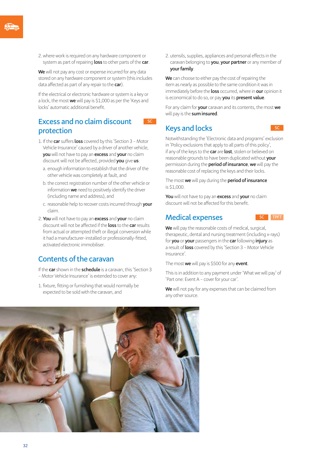2.where work is required on any hardware component or system as part of repairing **loss** to other parts of the **car**.

**We** will not pay any cost or expense incurred for any data stored on any hardware component or system (this includes data affected as part of any repair to the **car**).

If the electrical or electronic hardware or system is a key or a lock, the most **we** will pay is \$1,000 as per the 'Keys and locks' automatic additional benefit.

### **Excess and no claim discount** SC **protection**

- 1. If the **car** suffers **loss** covered by this 'Section 3 Motor Vehicle Insurance' caused by a driver of another vehicle, **you** will not have to pay an **excess** and **your** no claim discount will not be affected, provided **you** give **us**:
	- a. enough information to establish that the driver of the other vehicle was completely at fault, and
	- b. the correct registration number of the other vehicle or information **we** need to positively identify the driver (including name and address), and
	- c. reasonable help to recover costs incurred through **your** claim.
- 2.**You** will not have to pay an **excess** and **your** no claim discount will not be affected if the **loss** to the **car** results from actual or attempted theft or illegal conversion while it had a manufacturer-installed or professionally-fitted, activated electronic immobiliser.

### **Contents of the caravan**

If the **car** shown in the **schedule** is a caravan, this 'Section 3 – Motor Vehicle Insurance' is extended to cover any:

1. fixture, fitting or furnishing that would normally be expected to be sold with the caravan, and

2. utensils, supplies, appliances and personal effects in the caravan belonging to **you**, **your partner** or any member of **your family.** 

**We** can choose to either pay the cost of repairing the item as nearly as possible to the same condition it was in immediately before the **loss** occurred, where in **our** opinion it is economical to do so, or pay **you** its **present value**.

For any claim for **your** caravan and its contents, the most **we** will pay is the **sum insured**.

### **Keys and locks**

Notwithstanding the 'Electronic data and programs' exclusion in 'Policy exclusions that apply to all parts of this policy', if any of the keys to the **car** are **lost**, stolen or believed on reasonable grounds to have been duplicated without **your** permission during the **period of insurance**, **we** will pay the reasonable cost of replacing the keys and their locks.

The most **we** will pay during the **period of insurance**  is \$1,000.

**You** will not have to pay an **excess** and **your** no claim discount will not be affected for this benefit.

### **Medical expenses** SC **TPFT**

**We** will pay the reasonable costs of medical, surgical, therapeutic, dental and nursing treatment (including x-rays) for **you** or **your** passengers in the **car** following **injury** as a result of **loss** covered by this 'Section 3 – Motor Vehicle Insurance'.

The most **we** will pay is \$500 for any **event**.

This is in addition to any payment under 'What we will pay' of 'Part one: Event A – cover for your car'.

**We** will not pay for any expenses that can be claimed from any other source.

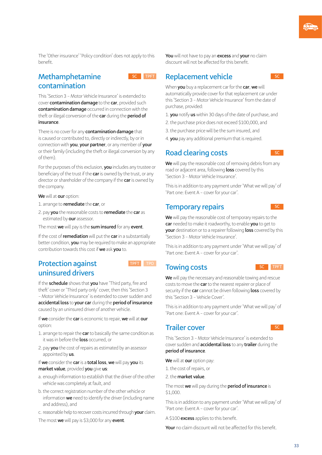The 'Other insurance' 'Policy condition' does not apply to this benefit.

### **Methamphetamine contamination**



This 'Section 3 – Motor Vehicle Insurance' is extended to cover **contamination damage** to the **car**, provided such **contamination damage** occurred in connection with the theft or illegal conversion of the **car** during the **period of insurance**.

There is no cover for any **contamination damage** that is caused or contributed to, directly or indirectly, by or in connection with **you**, **your partner**, or any member of **your** or their family (including the theft or illegal conversion by any of them).

For the purposes of this exclusion, **you** includes any trustee or beneficiary of the trust if the **car** is owned by the trust, or any director or shareholder of the company if the **car** is owned by the company.

**We** will at **our** option:

1. arrange to **remediate** the **car**, or

2. pay **you** the reasonable costs to **remediate** the **car** as estimated by **our** assessor.

The most **we** will pay is the **sum insured** for any **event**.

If the cost of **remediation** will put the **car** in a substantially better condition, **you** may be required to make an appropriate contribution towards this cost if **we** ask **you** to.

### **Protection against TPFT TPO uninsured drivers**



If the **schedule** shows that **you** have 'Third party, fire and theft' cover or 'Third party only' cover, then this 'Section 3 – Motor Vehicle Insurance' is extended to cover sudden and **accidental loss** to **your car** during the **period of insurance** caused by an uninsured driver of another vehicle.

If **we** consider the **car** is economic to repair, **we** will at **our** option:

- 1. arrange to repair the **car** to basically the same condition as it was in before the **loss** occurred, or
- 2. pay **you** the cost of repairs as estimated by an assessor appointed by **us**.

If **we** consider the **car** is a **total loss**, **we** will pay **you** its **market value**, provided **you** give **us**:

- a. enough information to establish that the driver of the other vehicle was completely at fault, and
- b. the correct registration number of the other vehicle or information **we** need to identify the driver (including name and address), and
- c. reasonable help to recover costs incurred through **your** claim.

The most **we** will pay is \$3,000 for any **event**.

**You** will not have to pay an **excess** and **your** no claim discount will not be affected for this benefit.

### **Replacement vehicle SC**

When **you** buy a replacement car for the **car**, **we** will automatically provide cover for that replacement car under this 'Section 3 – Motor Vehicle Insurance' from the date of purchase, provided:

- 1. **you** notify **us** within 30 days of the date of purchase, and
- 2.the purchase price does not exceed \$100,000, and
- 3.the purchase price will be the sum insured, and
- 4. **you** pay any additional premium that is required.

### **Road clearing costs**

**We** will pay the reasonable cost of removing debris from any road or adjacent area, following **loss** covered by this 'Section 3 – Motor Vehicle Insurance'.

This is in addition to any payment under 'What we will pay' of 'Part one: Event A – cover for your car'.

### **Temporary repairs**

**We** will pay the reasonable cost of temporary repairs to the **car** needed to make it roadworthy, to enable **you** to get to **your** destination or to a repairer following **loss** covered by this 'Section 3 – Motor Vehicle Insurance'.

This is in addition to any payment under 'What we will pay' of 'Part one: Event A – cover for your car'.

### **Towing costs** SC **SC TPFT**

**We** will pay the necessary and reasonable towing and rescue costs to move the **car** to the nearest repairer or place of security if the **car** cannot be driven following **loss** covered by this 'Section 3 – Vehicle Cover'.

This is in addition to any payment under 'What we will pay' of 'Part one: Event A – cover for your car'.

### **Trailer cover**

This 'Section 3 – Motor Vehicle Insurance' is extended to cover sudden and **accidental loss** to any **trailer** during the **period of insurance**.

**We** will at **our** option pay:

1.the cost of repairs, or

2.the **market value**.

The most **we** will pay during the **period of insurance** is \$1,000.

This is in addition to any payment under 'What we will pay' of 'Part one: Event A – cover for your car'.

A \$100 **excess** applies to this benefit.

**Your** no claim discount will not be affected for this benefit.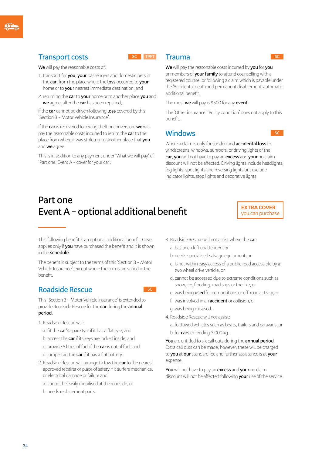### $Transport costs$



**We** will pay the reasonable costs of:

- 1.transport for **you**, **your** passengers and domestic pets in the **car**, from the place where the **loss** occurred to **your** home or to **your** nearest immediate destination, and
- 2.returning the **car** to **your** home or to another place **you** and **we** agree, after the **car** has been repaired,

if the **car** cannot be driven following **loss** covered by this 'Section 3 – Motor Vehicle Insurance'.

If the **car** is recovered following theft or conversion, **we** will pay the reasonable costs incurred to return the **car** to the place from where it was stolen or to another place that **you** and **we** agree.

This is in addition to any payment under 'What we will pay' of 'Part one: Event A – cover for your car'.

### **Trauma**

**We** will pay the reasonable costs incurred by **you** for **you** or members of **your family** to attend counselling with a registered counsellor following a claim which is payable under the 'Accidental death and permanent disablement' automatic additional benefit.

The most **we** will pay is \$500 for any **event**.

The 'Other insurance' 'Policy condition' does not apply to this benefit.

### **Windows**

Where a claim is only for sudden and **accidental loss** to windscreens, windows, sunroofs, or driving lights of the **car**, **you** will not have to pay an **excess** and **your** no claim discount will not be affected. Driving lights include headlights, fog lights, spot lights and reversing lights but exclude indicator lights, stop lights and decorative lights.

## **Part one Event A – optional additional benefit**

**EXTRA COVER**  you can purchase

This following benefit is an optional additional benefit. Cover applies only if **you** have purchased the benefit and it is shown in the **schedule**.

The benefit is subject to the terms of this 'Section 3 – Motor Vehicle Insurance', except where the terms are varied in the benefit.

### **Roadside Rescue SC**

This 'Section 3 – Motor Vehicle Insurance' is extended to provide Roadside Rescue for the **car** during the **annual period**.

- 1. Roadside Rescue will:
	- a. fit the **car's** spare tyre if it has a flat tyre, and
	- b. access the **car** if its keys are locked inside, and
	- c. provide 5 litres of fuel if the **car** is out of fuel, and
	- d. jump-start the **car** if it has a flat battery.
- 2. Roadside Rescue will arrange to tow the **car** to the nearest approved repairer or place of safety if it suffers mechanical or electrical damage or failure and:
	- a. cannot be easily mobilised at the roadside, or
	- b. needs replacement parts.
- 3. Roadside Rescue will not assist where the **car**:
	- a. has been left unattended, or
	- b. needs specialised salvage equipment, or
	- c. is not within easy access of a public road accessible by a two wheel drive vehicle, or
	- d. cannot be accessed due to extreme conditions such as snow, ice, flooding, road slips or the like, or
	- e. was being **used** for competitions or off-road activity, or
	- f. was involved in an **accident** or collision, or
	- g.was being misused.
- 4. Roadside Rescue will not assist:
	- a. for towed vehicles such as boats, trailers and caravans, or
	- b. for **cars** exceeding 3,000 kg.

**You** are entitled to six call outs during the **annual period**. Extra call outs can be made, however, these will be charged to **you** at **our** standard fee and further assistance is at **your** expense.

**You** will not have to pay an **excess** and **your** no claim discount will not be affected following **your** use of the service.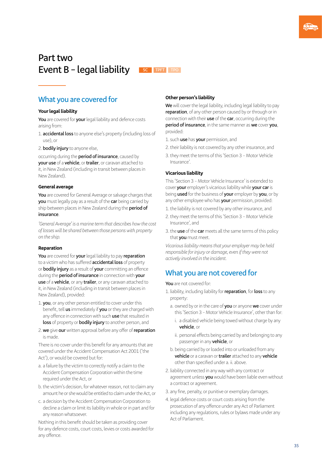## **Part two Event B – legal liability SC TPFT TPO**



### **What you are covered for**

### **Your legal liability**

**You** are covered for **your** legal liability and defence costs arising from:

- 1. **accidental loss** to anyone else's property (including loss of use), or
- 2. **bodily injury** to anyone else,

occurring during the **period of insurance**, caused by **your use** of a **vehicle**, or **trailer**, or caravan attached to it, in New Zealand (including in transit between places in New Zealand).

### **General average**

**You** are covered for General Average or salvage charges that **you** must legally pay as a result of the **car** being carried by ship between places in New Zealand during the **period of insurance**.

*'General Average' is a marine term that describes how the cost of losses will be shared between those persons with property on the ship.*

### **Reparation**

**You** are covered for **your** legal liability to pay **reparation** to a victim who has suffered **accidental loss** of property or **bodily injury** as a result of **your** committing an offence during the **period of insurance** in connection with **your use** of a **vehicle**, or any **trailer**, or any caravan attached to it, in New Zealand (including in transit between places in New Zealand), provided:

- 1. **you**, or any other person entitled to cover under this benefit, tell **us** immediately if **you** or they are charged with any offence in connection with such **use** that resulted in **loss** of property or **bodily injury** to another person, and
- 2. **we** give **our** written approval before any offer of **reparation** is made.

There is no cover under this benefit for any amounts that are covered under the Accident Compensation Act 2001 ('the Act'), or would be covered but for:

- a. a failure by the victim to correctly notify a claim to the Accident Compensation Corporation within the time required under the Act, or
- b. the victim's decision, for whatever reason, not to claim any amount he or she would be entitled to claim under the Act, or
- c. a decision by the Accident Compensation Corporation to decline a claim or limit its liability in whole or in part and for any reason whatsoever.

Nothing in this benefit should be taken as providing cover for any defence costs, court costs, levies or costs awarded for any offence.

### **Other person's liability**

**We** will cover the legal liability, including legal liability to pay **reparation**, of any other person caused by or through or in connection with their **use** of the **car**, occurring during the **period of insurance**, in the same manner as **we** cover **you**, provided:

- 1. such **use** has **your** permission, and
- 2.their liability is not covered by any other insurance, and
- 3.they meet the terms of this 'Section 3 Motor Vehicle Insurance'.

### **Vicarious liability**

This 'Section 3 – Motor Vehicle Insurance' is extended to cover **your** employer's vicarious liability while **your car** is being **used** for the business of **your** employer by **you**, or by any other employee who has **your** permission, provided:

- 1.the liability is not covered by any other insurance, and
- 2.they meet the terms of this 'Section 3 Motor Vehicle Insurance', and
- 3.the **use** of the **car** meets all the same terms of this policy that **you** must meet.

*Vicarious liability means that your employer may be held responsible for injury or damage, even if they were not actively involved in the incident.*

### **What you are not covered for**

#### **You** are not covered for:

- 1. liability, including liability for **reparation**, for **loss** to any property:
	- a. owned by or in the care of **you** or anyone **we** cover under this 'Section 3 – Motor Vehicle Insurance', other than for:
		- i. a disabled vehicle being towed without charge by any **vehicle**, or
		- ii. personal effects being carried by and belonging to any passenger in any **vehicle**, or
	- b. being carried by or loaded into or unloaded from any **vehicle** or a caravan or **trailer** attached to any **vehicle** other than specified under a. ii. above.
- 2. liability connected in any way with any contract or agreement unless **you** would have been liable even without a contract or agreement.
- 3. any fine, penalty, or punitive or exemplary damages.
- 4. legal defence costs or court costs arising from the prosecution of any offence under any Act of Parliament including any regulations, rules or bylaws made under any Act of Parliament.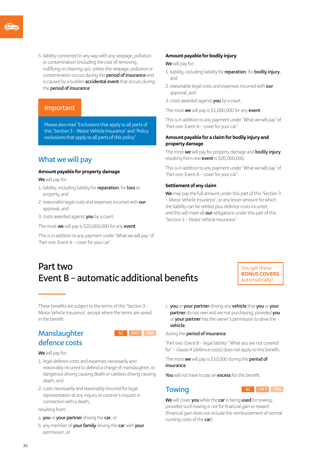5. liability connected in any way with any seepage, pollution or contamination (including the cost of removing, nullifying or cleaning up), unless the seepage, pollution or contamination occurs during the **period of insurance** and is caused by a sudden **accidental event** that occurs during the **period of insurance**.

### **Important**

Please also read 'Exclusions that apply to all parts of this 'Section 3 – Motor Vehicle Insurance' and 'Policy exclusions that apply to all parts of this policy'.

### **What we will pay**

#### **Amount payable for property damage**

**We** will pay for:

- 1. liability, including liability for **reparation**, for **loss** to property, and
- 2.reasonable legal costs and expenses incurred with **our** approval, and

3. costs awarded against **you** by a court.

The most **we** will pay is \$20,000,000 for any **event**.

This is in addition to any payment under 'What we will pay' of 'Part one: Event A – cover for your car'.

#### **Amount payable for bodily injury**

**We** will pay for:

- 1. liability, including liability for **reparation**, for **bodily injury**, and
- 2.reasonable legal costs and expenses incurred with **our**  approval, and
- 3. costs awarded against **you** by a court.

The most **we** will pay is \$1,000,000 for any **event**.

This is in addition to any payment under 'What we will pay' of 'Part one: Event A – cover for your car'.

### **Amount payable for a claim for bodily injury and property damage**

The most **we** will pay for property damage and **bodily injury** resulting from one **event** is \$20,000,000.

This is in addition to any payment under 'What we will pay' of 'Part one: Event A – cover for your car'.

#### **Settlement of any claim**

**We** may pay the full amount under this part of this 'Section 3 – Motor Vehicle Insurance', or any lesser amount for which the liability can be settled plus defence costs incurred, and this will meet all **our** obligations under this part of this 'Section 3 – Motor Vehicle Insurance'.

## **Part two Event B – automatic additional benefits**

You get these **BONUS COVERS** automatically!

These benefits are subject to the terms of this 'Section 3 – Motor Vehicle Insurance', except where the terms are varied in the benefit.

### **Manslaughter** SC **TPFT TPO defence costs**



**We** will pay for:

- 1. legal defence costs and expenses necessarily and reasonably incurred to defend a charge of manslaughter, or dangerous driving causing death or careless driving causing death, and
- 2. costs necessarily and reasonably incurred for legal representation at any inquiry or coroner's inquest in connection with a death,

resulting from:

- a. **you** or **your partner** driving the **car**, or
- b. any member of **yourfamily** driving the **car** with **your** permission, or

c. **you** or **your partner** driving any **vehicle** that **you** or **your partner** do not own and are not purchasing, provided **you** or **your partner** has the owner's permission to drive the **vehicle**,

### during the **period of insurance**.

'Part two: Event B – legal liability' 'What you are not covered for' – clause 4 (defence costs) does not apply to this benefit.

The most **we** will pay is \$10,000 during the **period of insurance**.

**You** will not have to pay an **excess** for this benefit.



**We** will cover **you** while the **car** is being **used** for towing, provided such towing is not for financial gain or reward (financial gain does not include the reimbursement of normal running costs of the **car**).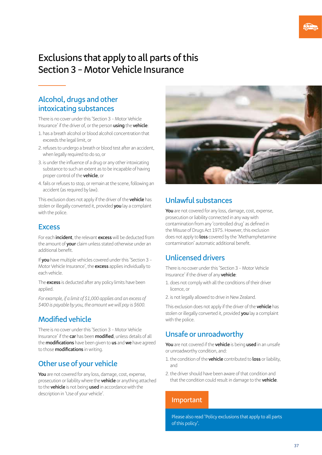## **Exclusions that apply to all parts of this Section 3 – Motor Vehicle Insurance**

### **Alcohol, drugs and other intoxicating substances**

There is no cover under this 'Section 3 – Motor Vehicle Insurance' if the driver of, or the person **using** the **vehicle**:

- 1. has a breath alcohol or blood alcohol concentration that exceeds the legal limit, or
- 2.refuses to undergo a breath or blood test after an accident, when legally required to do so, or
- 3. is under the influence of a drug or any other intoxicating substance to such an extent as to be incapable of having proper control of the **vehicle**, or
- 4. fails or refuses to stop, or remain at the scene, following an accident (as required by law).

This exclusion does not apply if the driver of the **vehicle** has stolen or illegally converted it, provided **you** lay a complaint with the police.

### **Excess**

For each **incident**, the relevant **excess** will be deducted from the amount of **your** claim unless stated otherwise under an additional benefit.

If **you** have multiple vehicles covered under this 'Section 3 – Motor Vehicle Insurance', the **excess** applies individually to each vehicle.

The **excess** is deducted after any policy limits have been applied.

*For example, if a limit of \$1,000 applies and an excess of \$400 is payable by you, the amount we will pay is \$600.*

### **Modified vehicle**

There is no cover under this 'Section 3 – Motor Vehicle Insurance' if the **car** has been **modified**, unless details of all the **modifications** have been given to **us** and **we** have agreed to those **modifications** in writing.

### **Other use of your vehicle**

**You** are not covered for any loss, damage, cost, expense, prosecution or liability where the **vehicle** or anything attached to the **vehicle** is not being **used** in accordance with the description in 'Use of your vehicle'.



### **Unlawful substances**

**You** are not covered for any loss, damage, cost, expense, prosecution or liability connected in any way with contamination from any 'controlled drug' as defined in the Misuse of Drugs Act 1975. However, this exclusion does not apply to **loss** covered by the 'Methamphetamine contamination' automatic additional benefit.

### **Unlicensed drivers**

There is no cover under this 'Section 3 – Motor Vehicle Insurance' if the driver of any **vehicle**:

- 1. does not comply with all the conditions of their driver licence, or
- 2. is not legally allowed to drive in New Zealand.

This exclusion does not apply if the driver of the **vehicle** has stolen or illegally converted it, provided **you** lay a complaint with the police.

### **Unsafe or unroadworthy**

**You** are not covered if the **vehicle** is being **used** in an unsafe or unroadworthy condition, and:

- 1.the condition of the **vehicle** contributed to **loss** or liability, and
- 2.the driver should have been aware of that condition and that the condition could result in damage to the **vehicle**.

### **Important**

Please also read 'Policy exclusions that apply to all parts of this policy'.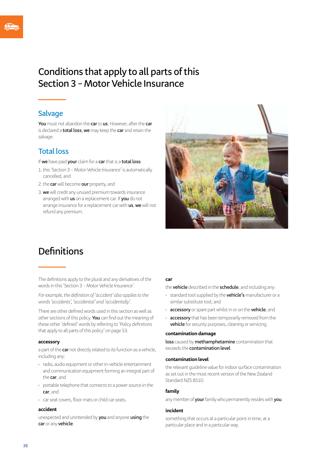## **Conditions that apply to all parts of this Section 3 – Motor Vehicle Insurance**

### **Salvage**

**You** must not abandon the **car** to **us**. However, after the **car** is declared a **total loss**, **we** may keep the **car** and retain the salvage.

### **Total loss**

If **we** have paid **your** claim for a **car** that is a **total loss**:

- 1.this 'Section 3 Motor Vehicle Insurance' is automatically cancelled, and
- 2.the **car** will become **our** property, and
- 3. **we** will credit any unused premium towards insurance arranged with **us** on a replacement car. If **you** do not arrange insurance for a replacement car with **us**, **we** will not refund any premium.



## **Definitions**

The definitions apply to the plural and any derivatives of the words in this 'Section 3 – Motor Vehicle Insurance'.

*For example, the definition of 'accident' also applies to the words 'accidents', 'accidental' and 'accidentally'.*

There are other defined words used in this section as well as other sections of this policy. **You** can find out the meaning of these other 'defined' words by referring to 'Policy definitions that apply to all parts of this policy' on page 53.

### **accessory**

a part of the **car** not directly related to its function as a vehicle, including any:

- › radio, audio equipment or other in-vehicle entertainment and communication equipment forming an integral part of the **car**, and
- › portable telephone that connects to a power source in the **car**, and
- › car seat covers, floor mats or child car seats.

#### **accident**

unexpected and unintended by **you** and anyone **using** the **car** or any **vehicle**.

### **car**

the **vehicle** described in the **schedule**, and including any:

- › standard tool supplied by the **vehicle's** manufacturer or a similar substitute tool, and
- › **accessory** or spare part whilst in or on the **vehicle**, and
- › **accessory** that has been temporarily removed from the **vehicle** for security purposes, cleaning or servicing.

### **contamination damage**

**loss** caused by **methamphetamine** contamination that exceeds the **contamination level**.

#### **contamination level**

the relevant guideline value for indoor surface contamination as set out in the most recent version of the New Zealand Standard NZS 8510

#### **family**

any member of **your** family who permanently resides with **you**.

#### **incident**

something that occurs at a particular point in time, at a particular place and in a particular way.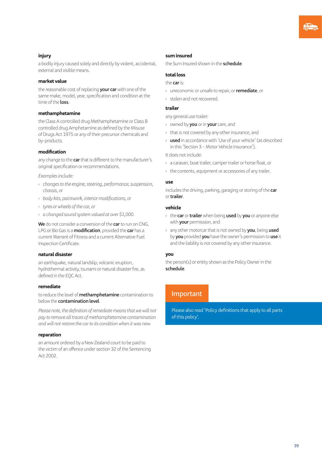### **injury**

a bodily injury caused solely and directly by violent, accidental, external and visible means.

### **market value**

the reasonable cost of replacing **your car** with one of the same make, model, year, specification and condition at the time of the **loss**.

#### **methamphetamine**

the Class A controlled drug Methamphetamine or Class B controlled drug Amphetamine as defined by the Misuse of Drugs Act 1975 or any of their precursor chemicals and by-products.

### **modification**

any change to the **car** that is different to the manufacturer's original specification or recommendations.

*Examples include:*

- *› changes to the engine, steering, performance, suspension, chassis, or*
- *› body kits, paintwork, interior modifications, or*
- *› tyres or wheels of the car, or*
- *› a changed sound system valued at over \$1,000.*

**We** do not consider a conversion of the **car** to run on CNG, LPG or Bio Gas is a **modification**, provided the **car** has a current Warrant of Fitness and a current Alternative Fuel Inspection Certificate.

### **natural disaster**

an earthquake, natural landslip, volcanic eruption, hydrothermal activity, tsunami or natural disaster fire, as defined in the EQC Act.

### **remediate**

to reduce the level of **methamphetamine** contamination to below the **contamination level**.

*Please note, the definition of remediate means that we will not pay to remove all traces of methamphetamine contamination and will not restore the car to its condition when it was new.*

### **reparation**

an amount ordered by a New Zealand court to be paid to the victim of an offence under section 32 of the Sentencing Act 2002.

#### **sum insured**

the Sum Insured shown in the **schedule**.

#### **total loss**

#### the **car** is:

- › uneconomic or unsafe to repair, or **remediate**, or
- › stolen and not recovered.

#### **trailer**

any general use trailer:

- › owned by **you** or in **your** care, and
- › that is not covered by any other insurance, and
- › **used** in accordance with 'Use of your vehicle' (as described in this 'Section 3 – Motor Vehicle Insurance').

It does not include:

- › a caravan, boat trailer, camper trailer or horse float, or
- › the contents, equipment or accessories of any trailer.

#### **use**

includes the driving, parking, garaging or storing of the **car** or **trailer**.

### **vehicle**

- › the **car** or **trailer** when being **used** by **you** or anyone else with **your** permission, and
- › any other motorcar that is not owned by **you**, being **used** by **you** provided **you** have the owner's permission to **use** it and the liability is not covered by any other insurance.

### **you**

the person(s) or entity shown as the Policy Owner in the **schedule**.

### **Important**

Please also read 'Policy definitions that apply to all parts of this policy'.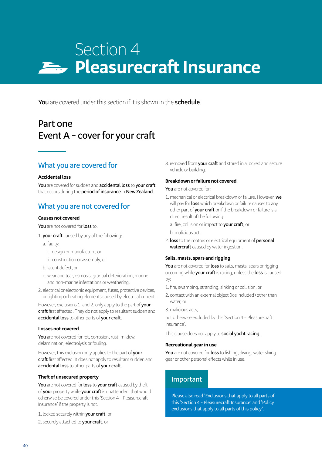# Section 4 **Pleasurecraft Insurance**

**You** are covered under this section if it is shown in the **schedule**.

## **Part one Event A – cover for your craft**

### **What you are covered for**

### **Accidental loss**

**You** are covered for sudden and **accidental loss** to **your craft** that occurs during the **period of insurance** in **New Zealand**.

### **What you are not covered for**

#### **Causes not covered**

**You** are not covered for **loss** to:

- 1. **your craft** caused by any of the following:
	- a. faulty:
		- i. design or manufacture, or
		- ii. construction or assembly, or
	- b. latent defect, or
	- c. wear and tear, osmosis, gradual deterioration, marine and non-marine infestations or weathering.
- 2. electrical or electronic equipment, fuses, protective devices, or lighting or heating elements caused by electrical current.

However, exclusions 1. and 2. only apply to the part of **your craft** first affected. They do not apply to resultant sudden and **accidental loss** to other parts of **your craft**.

### **Losses not covered**

**You** are not covered for rot, corrosion, rust, mildew, delamination, electrolysis or fouling.

However, this exclusion only applies to the part of **your craft** first affected. It does not apply to resultant sudden and **accidental loss** to other parts of **your craft**.

### **Theft of unsecured property**

**You** are not covered for **loss** to **your craft** caused by theft of **your** property while **your craft** is unattended, that would otherwise be covered under this 'Section 4 – Pleasurecraft Insurance' if the property is not:

- 1. locked securely within **your craft**, or
- 2. securely attached to **your craft**, or

3.removed from **your craft** and stored in a locked and secure vehicle or building.

### **Breakdown or failure not covered**

**You** are not covered for:

- 1. mechanical or electrical breakdown or failure. However, **we** will pay for **loss** which breakdown or failure causes to any other part of **your craft** or if the breakdown or failure is a direct result of the following:
	- a. fire, collision or impact to **your craft**, or

b. malicious act.

2. **loss** to the motors or electrical equipment of **personal watercraft** caused by water ingestion.

### **Sails, masts, spars and rigging**

**You** are not covered for **loss** to sails, masts, spars or rigging occurring while **your craft** is racing, unless the **loss** is caused by:

- 1. fire, swamping, stranding, sinking or collision, or
- 2. contact with an external object (ice included) other than water, or
- 3. malicious acts,

not otherwise excluded by this 'Section 4 – Pleasurecraft Insurance'.

This clause does not apply to **social yacht racing**.

### **Recreational gear in use**

**You** are not covered for **loss** to fishing, diving, water skiing gear or other personal effects while in use.

### **Important**

Please also read 'Exclusions that apply to all parts of this 'Section 4 – Pleasurecraft Insurance' and 'Policy exclusions that apply to all parts of this policy'.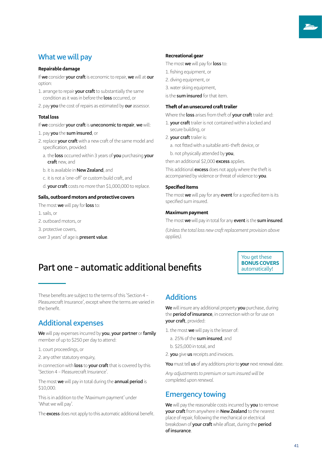### **What we will pay**

#### **Repairable damage**

If **we** consider **your craft** is economic to repair, **we** will at **our** option:

- 1. arrange to repair **your craft** to substantially the same condition as it was in before the **loss** occurred, or
- 2. pay **you** the cost of repairs as estimated by **our** assessor.

#### **Total loss**

- If **we** consider **your craft** is **uneconomic to repair**, **we** will:
- 1. pay **you** the **sum insured**, or
- 2.replace **your craft** with a new craft of the same model and specification, provided:
	- a. the **loss** occurred within 3 years of **you** purchasing **your craft** new, and
	- b. it is available in **New Zealand**, and
	- c. it is not a 'one-off' or custom build craft, and
	- d. **your craft** costs no more than \$1,000,000 to replace.

#### **Sails, outboard motors and protective covers**

The most **we** will pay for **loss** to:

1. sails, or

- 2. outboard motors, or
- 3. protective covers,

over 3 years' of age is **present value**.

#### **Recreational gear**

The most **we** will pay for **loss** to:

- 1. fishing equipment, or
- 2. diving equipment, or
- 3.water skiing equipment,
- is the **sum insured** for that item.

#### **Theft of an unsecured craft trailer**

Where the **loss** arises from theft of **your craft** trailer and:

- 1. **your craft** trailer is not contained within a locked and secure building, or
- 2. **your craft** trailer is:
	- a. not fitted with a suitable anti-theft device, or

b. not physically attended by **you**,

then an additional \$2,000 **excess** applies.

This additional **excess** does not apply where the theft is accompanied by violence or threat of violence to **you**.

### **Specified items**

The most **we** will pay for any **event** for a specified item is its specified sum insured.

#### **Maximum payment**

The most **we** will pay in total for any **event** is the **sum insured**.

*(Unless the total loss new craft replacement provision above applies).*

## **Part one – automatic additional benefits**

You get these **BONUS COVERS** automatically!

These benefits are subject to the terms of this 'Section 4 – Pleasurecraft Insurance', except where the terms are varied in the benefit.

### **Additional expenses**

**We** will pay expenses incurred by **you**, **your partner** or **family** member of up to \$250 per day to attend:

1. court proceedings, or

2. any other statutory enquiry,

in connection with **loss** to **your craft** that is covered by this 'Section 4 – Pleasurecraft Insurance'.

The most **we** will pay in total during the **annual period** is \$10,000.

This is in addition to the 'Maximum payment' under 'What we will pay'.

The **excess** does not apply to this automatic additional benefit.

### **Additions**

**We** will insure any additional property **you** purchase, during the **period of insurance**, in connection with or for use on **your craft**, provided:

- 1.the most **we** will pay is the lesser of:
	- a. 25% of the **sum insured**, and
	- b. \$25,000 in total, and
- 2. **you** give **us** receipts and invoices.

**You** must tell **us** of any additions prior to **your** next renewal date.

*Any adjustments to premium or sum insured will be completed upon renewal.*

### **Emergency towing**

**We** will pay the reasonable costs incurred by **you** to remove **your craft** from anywhere in **New Zealand** to the nearest place of repair, following the mechanical or electrical breakdown of **your craft** while afloat, during the **period ofinsurance**.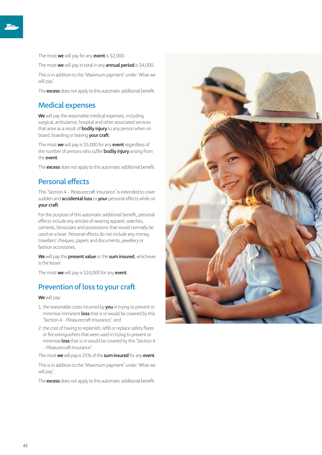The most **we** will pay for any **event** is \$2,000.

The most **we** will pay in total in any **annual period** is \$4,000.

This is in addition to the 'Maximum payment' under 'What we will pay'.

The **excess** does not apply to this automatic additional benefit.

### **Medical expenses**

**We** will pay the reasonable medical expenses, including surgical, ambulance, hospital and other associated services that arise as a result of **bodily injury** to any person when on board, boarding or leaving **your craft**.

The most **we** will pay is \$5,000 for any **event** regardless of the number of persons who suffer **bodily injury** arising from the **event**.

The **excess** does not apply to this automatic additional benefit.

### **Personal effects**

This 'Section 4 – Pleasurecraft Insurance' is extended to cover sudden and **accidental loss** to **your** personal effects while on **your craft**.

For the purpose of this automatic additional benefit, personal effects include any articles of wearing apparel, watches, cameras, binoculars and possessions that would normally be used on a boat. Personal effects do not include any money, travellers' cheques, papers and documents, jewellery or fashion accessories.

**We** will pay the **present value** or the **sum insured**, whichever is the lesser.

The most **we** will pay is \$10,000 for any **event**.

### **Prevention of loss to your craft**

**We** will pay:

- 1.the reasonable costs incurred by **you** in trying to prevent or minimise imminent **loss** that is or would be covered by this 'Section 4 – Pleasurecraft Insurance', and
- 2.the cost of having to replenish, refill or replace safety flares or fire extinguishers that were used in trying to prevent or minimise **loss** that is or would be covered by this 'Section 4 – Pleasurecraft Insurance'.

The most **we** will pay is 25% of the **sum insured** for any **event**.

This is in addition to the 'Maximum payment' under 'What we will pay'.

The **excess** does not apply to this automatic additional benefit.

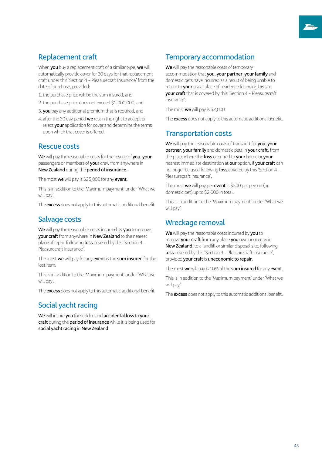### **Replacement craft**

When **you** buy a replacement craft of a similar type, **we** will automatically provide cover for 30 days for that replacement craft under this 'Section 4 – Pleasurecraft Insurance' from the date of purchase, provided:

- 1.the purchase price will be the sum insured, and
- 2.the purchase price does not exceed \$1,000,000, and
- 3. **you** pay any additional premium that is required, and
- 4. after the 30 day period **we** retain the right to accept or reject **your** application for cover and determine the terms upon which that cover is offered.

### **Rescue costs**

**We** will pay the reasonable costs for the rescue of **you**, **your** passengers or members of **your** crew from anywhere in **New Zealand** during the **period of insurance**.

The most **we** will pay is \$25,000 for any **event**.

This is in addition to the 'Maximum payment' under 'What we will pay'.

The **excess** does not apply to this automatic additional benefit.

### **Salvage costs**

**We** will pay the reasonable costs incurred by **you** to remove **your craft** from anywhere in **New Zealand** to the nearest place of repair following **loss** covered by this 'Section 4 – Pleasurecraft Insurance'.

The most **we** will pay for any **event** is the **sum insured** for the lost item.

This is in addition to the 'Maximum payment' under 'What we will pay'.

The **excess** does not apply to this automatic additional benefit.

### **Social yacht racing**

**We** will insure **you** for sudden and **accidental loss** to **your craft** during the **period of insurance** while it is being used for **social yacht racing** in **New Zealand**.

### **Temporary accommodation**

**We** will pay the reasonable costs of temporary accommodation that you, your partner, your family and domestic pets have incurred as a result of being unable to return to **your** usual place of residence following **loss** to **your craft** that is covered by this 'Section 4 – Pleasurecraft Insurance'.

The most **we** will pay is \$2,000.

The **excess** does not apply to this automatic additional benefit.

### **Transportation costs**

**We** will pay the reasonable costs of transport for **you**, **your partner**, **your family** and domestic pets in **your craft**, from the place where the **loss** occurred to **your** home or **your** nearest immediate destination at **our** option, if **your craft** can no longer be used following **loss** covered by this 'Section 4 – Pleasurecraft Insurance'.

The most **we** will pay per **event** is \$500 per person (or domestic pet) up to \$2,000 in total.

This is in addition to the 'Maximum payment' under 'What we will pay'.

### **Wreckage removal**

**We** will pay the reasonable costs incurred by **you** to remove **your craft** from any place **you** own or occupy in **New Zealand**, to a landfill or similar disposal site, following **loss** covered by this 'Section 4 – Pleasurecraft Insurance', provided **your craft** is **uneconomic to repair**.

The most **we** will pay is 10% of the **sum insured** for any **event**.

This is in addition to the 'Maximum payment' under 'What we will pay'.

The **excess** does not apply to this automatic additional benefit.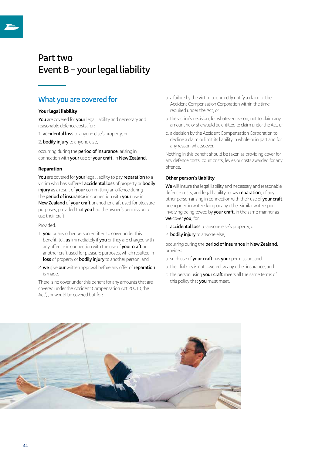## **Part two Event B – your legal liability**

### **What you are covered for**

### **Your legal liability**

**You** are covered for **your** legal liability and necessary and reasonable defence costs, for:

- 1. **accidental loss** to anyone else's property, or
- 2. **bodily injury** to anyone else,

occurring during the **period of insurance**, arising in connection with **your** use of **your craft**, in **New Zealand**.

#### **Reparation**

**You** are covered for **your** legal liability to pay **reparation** to a victim who has suffered **accidental loss** of property or **bodily injury** as a result of **your** committing an offence during the **period of insurance** in connection with **your** use in **New Zealand** of **your craft** or another craft used for pleasure purposes, provided that **you** had the owner's permission to use their craft.

#### Provided:

- 1. **you**, or any other person entitled to cover under this benefit, tell **us** immediately if **you** or they are charged with any offence in connection with the use of **your craft** or another craft used for pleasure purposes, which resulted in **loss** of property or **bodily injury** to another person, and
- 2. **we** give **our** written approval before any offer of **reparation** is made.

There is no cover under this benefit for any amounts that are covered under the Accident Compensation Act 2001 ('the Act'), or would be covered but for:

- a. a failure by the victim to correctly notify a claim to the Accident Compensation Corporation within the time required under the Act, or
- b. the victim's decision, for whatever reason, not to claim any amount he or she would be entitled to claim under the Act, or
- c. a decision by the Accident Compensation Corporation to decline a claim or limit its liability in whole or in part and for any reason whatsoever.

Nothing in this benefit should be taken as providing cover for any defence costs, court costs, levies or costs awarded for any offence.

### **Other person's liability**

**We** will insure the legal liability and necessary and reasonable defence costs, and legal liability to pay **reparation**, of any other person arising in connection with their use of **your craft**, or engaged in water skiing or any other similar water sport involving being towed by **your craft**, in the same manner as **we** cover **you**, for:

- 1. **accidental loss** to anyone else's property, or
- 2. **bodily injury** to anyone else,

occurring during the **period of insurance** in **New Zealand**, provided:

- a. such use of **your craft** has **your** permission, and
- b. their liability is not covered by any other insurance, and
- c. the person using **your craft** meets all the same terms of this policy that **you** must meet.

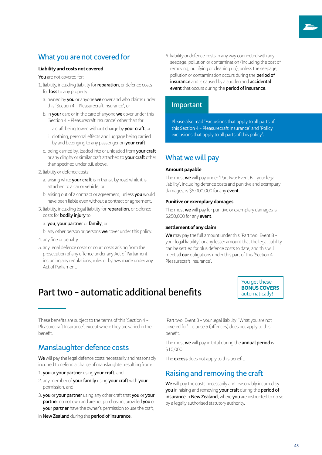### **What you are not covered for**

### **Liability and costs not covered**

**You** are not covered for:

- 1. liability, including liability for **reparation**, or defence costs for **loss** to any property:
	- a. owned by **you** or anyone **we** cover and who claims under this 'Section 4 – Pleasurecraft Insurance', or
	- b. in **your** care or in the care of anyone **we** cover under this 'Section 4 – Pleasurecraft Insurance' other than for:
		- i. a craft being towed without charge by **your craft**, or
		- ii. clothing, personal effects and luggage being carried by and belonging to any passenger on **your craft**,
	- c. being carried by, loaded into or unloaded from **your craft** or any dinghy or similar craft attached to **your craft** other than specified under b.ii. above.
- 2. liability or defence costs:
	- a. arising while **your craft** is in transit by road while it is attached to a car or vehicle, or
	- b. arising out of a contract or agreement, unless **you** would have been liable even without a contract or agreement.
- 3. liability, including legal liability for **reparation**, or defence costs for **bodily injury** to:

#### a. **you**, **your partner** or **family**, or

b. any other person or persons **we** cover under this policy.

- 4. any fine or penalty.
- 5. any legal defence costs or court costs arising from the prosecution of any offence under any Act of Parliament including any regulations, rules or bylaws made under any Act of Parliament.

6. liability or defence costs in any way connected with any seepage, pollution or contamination (including the cost of removing, nullifying or cleaning up), unless the seepage, pollution or contamination occurs during the **period of insurance** and is caused by a sudden and **accidental event** that occurs during the **period of insurance**.

### **Important**

Please also read 'Exclusions that apply to all parts of this Section 4 – Pleasurecraft Insurance' and 'Policy exclusions that apply to all parts of this policy'.

### **What we will pay**

#### **Amount payable**

The most **we** will pay under 'Part two: Event B – your legal liability', including defence costs and punitive and exemplary damages, is \$5,000,000 for any **event**.

#### **Punitive or exemplary damages**

The most **we** will pay for punitive or exemplary damages is \$250,000 for any **event**.

#### **Settlement of any claim**

**We** may pay the full amount under this 'Part two: Event B – your legal liability', or any lesser amount that the legal liability can be settled for plus defence costs to date, and this will meet all **our** obligations under this part of this 'Section 4 – Pleasurecraft Insurance'.

## **Part two – automatic additional benefits**

You get these **BONUS COVERS** automatically!

These benefits are subject to the terms of this 'Section 4 – Pleasurecraft Insurance', except where they are varied in the benefit.

### **Manslaughter defence costs**

**We** will pay the legal defence costs necessarily and reasonably incurred to defend a charge of manslaughter resulting from:

- 1. **you** or **your partner** using **your craft**, and
- 2. any member of **yourfamily** using **your craft** with **your** permission, and
- 3. **you** or **your partner** using any other craft that **you** or **your partner** do not own and are not purchasing, provided **you** or **your partner** have the owner's permission to use the craft,
- in **New Zealand** during the **period of insurance**.

'Part two: Event B – your legal liability' 'What you are not covered for' – clause 5 (offences) does not apply to this benefit.

The most **we** will pay in total during the **annual period** is \$10,000.

The **excess** does not apply to this benefit.

### **Raising and removing the craft**

**We** will pay the costs necessarily and reasonably incurred by **you** in raising and removing **your craft** during the **period of insurance** in **New Zealand**, where **you** are instructed to do so by a legally authorised statutory authority.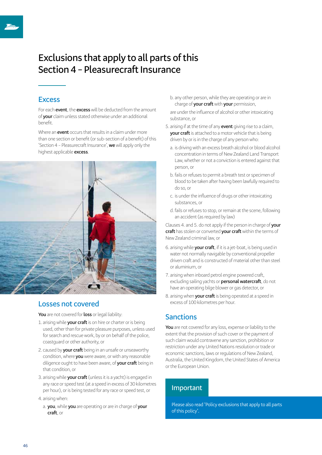## **Exclusions that apply to all parts of this Section 4 – Pleasurecraft Insurance**

### **Excess**

For each **event**, the **excess** will be deducted from the amount of **your** claim unless stated otherwise under an additional benefit.

Where an **event** occurs that results in a claim under more than one section or benefit (or sub-section of a benefit) of this 'Section 4 – Pleasurecraft Insurance', **we** will apply only the highest applicable **excess**.



### **Losses not covered**

**You** are not covered for **loss** or legal liability:

- 1. arising while **your craft** is on hire or charter or is being used, other than for private pleasure purposes, unless used for search and rescue work, by or on behalf of the police, coastguard or other authority, or
- 2. caused by **your craft** being in an unsafe or unseaworthy condition, where **you** were aware, or with any reasonable diligence ought to have been aware, of **your craft** being in that condition, or
- 3. arising while **your craft** (unless it is a yacht) is engaged in any race or speed test (at a speed in excess of 30 kilometres per hour), or is being tested for any race or speed test, or
- 4. arising when:
- a. **you**, while **you** are operating or are in charge of **your craft**, or

b. any other person, while they are operating or are in charge of **your craft** with **your** permission,

are under the influence of alcohol or other intoxicating substance, or

- 5. arising if at the time of any **event** giving rise to a claim, **your craft** is attached to a motor vehicle that is being driven by or is in the charge of any person who:
	- a. is driving with an excess breath alcohol or blood alcohol concentration in terms of New Zealand Land Transport Law, whether or not a conviction is entered against that person, or
	- b. fails or refuses to permit a breath test or specimen of blood to be taken after having been lawfully required to do so, or
	- c. is under the influence of drugs or other intoxicating substances, or
	- d. fails or refuses to stop, or remain at the scene, following an accident (as required by law)

Clauses 4. and 5. do not apply if the person in charge of **your craft** has stolen or converted **your craft** within the terms of New Zealand criminal law, or

- 6. arising while **your craft**, if it is a jet-boat, is being used in water not normally navigable by conventional propeller driven craft and is constructed of material other than steel or aluminium, or
- 7. arising when inboard petrol engine powered craft, excluding sailing yachts or **personal watercraft**, do not have an operating bilge blower or gas detector, or
- 8. arising when **your craft** is being operated at a speed in excess of 100 kilometres per hour.

### **Sanctions**

**You** are not covered for any loss, expense or liability to the extent that the provision of such cover or the payment of such claim would contravene any sanction, prohibition or restriction under any United Nations resolution or trade or economic sanctions, laws or regulations of New Zealand, Australia, the United Kingdom, the United States of America or the European Union.

### **Important**

Please also read 'Policy exclusions that apply to all parts of this policy'.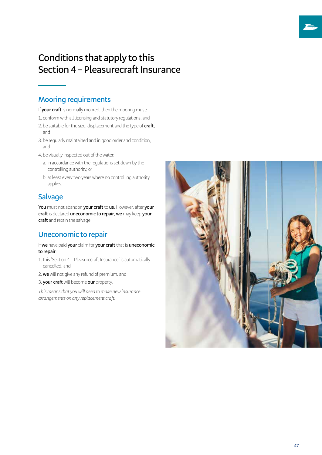## **Conditions that apply to this Section 4 – Pleasurecraft Insurance**

### **Mooring requirements**

If **your craft** is normally moored, then the mooring must:

- 1. conform with all licensing and statutory regulations, and
- 2. be suitable for the size, displacement and the type of **craft**, and
- 3. be regularly maintained and in good order and condition, and
- 4. be visually inspected out of the water:
	- a. in accordance with the regulations set down by the controlling authority, or
	- b. at least every two years where no controlling authority applies.

### **Salvage**

**You** must not abandon **your craft** to **us**. However, after **your craft** is declared **uneconomic to repair**, **we** may keep **your craft** and retain the salvage.

### **Uneconomic to repair**

If **we** have paid **your** claim for **your craft** that is **uneconomic to repair**:

- 1.this 'Section 4 Pleasurecraft Insurance' is automatically cancelled, and
- 2. **we** will not give any refund of premium, and
- 3. **your craft** will become **our** property.

*This means that you will need to make new insurance arrangements on any replacement craft.*

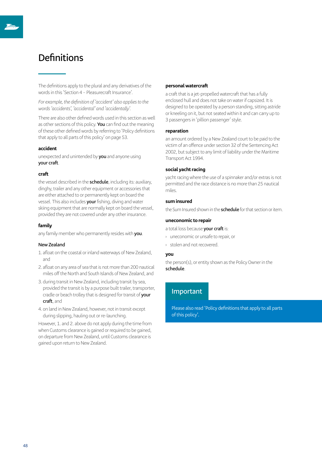## **Definitions**

The definitions apply to the plural and any derivatives of the words in this 'Section 4 – Pleasurecraft Insurance'.

*For example, the definition of 'accident' also applies to the words 'accidents', 'accidental' and 'accidentally'.*

There are also other defined words used in this section as well as other sections of this policy. **You** can find out the meaning of these other defined words by referring to 'Policy definitions that apply to all parts of this policy' on page 53.

#### **accident**

unexpected and unintended by **you** and anyone using **your craft**.

#### **craft**

the vessel described in the **schedule**, including its: auxiliary, dinghy, trailer and any other equipment or accessories that are either attached to or permanently kept on board the vessel. This also includes **your** fishing, diving and water skiing equipment that are normally kept on board the vessel, provided they are not covered under any other insurance.

### **family**

any family member who permanently resides with **you**.

### **New Zealand**

- 1. afloat on the coastal or inland waterways of New Zealand, and
- 2. afloat on any area of sea that is not more than 200 nautical miles off the North and South Islands of New Zealand, and
- 3. during transit in New Zealand, including transit by sea, provided the transit is by a purpose built trailer, transporter, cradle or beach trolley that is designed for transit of **your craft**, and
- 4. on land in New Zealand, however, not in transit except during slipping, hauling out or re-launching.

However, 1. and 2. above do not apply during the time from when Customs clearance is gained or required to be gained, on departure from New Zealand, until Customs clearance is gained upon return to New Zealand.

#### **personal watercraft**

a craft that is a jet-propelled watercraft that has a fully enclosed hull and does not take on water if capsized. It is designed to be operated by a person standing, sitting astride or kneeling on it, but not seated within it and can carry up to 3 passengers in 'pillion passenger' style.

#### **reparation**

an amount ordered by a New Zealand court to be paid to the victim of an offence under section 32 of the Sentencing Act 2002, but subject to any limit of liability under the Maritime Transport Act 1994.

### **social yacht racing**

yacht racing where the use of a spinnaker and/or extras is not permitted and the race distance is no more than 25 nautical miles.

#### **sum insured**

the Sum Insured shown in the **schedule** for that section or item.

#### **uneconomic to repair**

a total loss because **your craft** is:

- › uneconomic or unsafe to repair, or
- › stolen and not recovered.

#### **you**

the person(s), or entity shown as the Policy Owner in the **schedule**.

### **Important**

Please also read 'Policy definitions that apply to all parts of this policy'.

48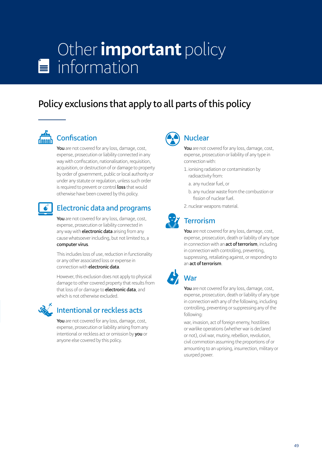# Other **important** policy  $\equiv$  information

## **Policy exclusions that apply to all parts of this policy**



## **Confiscation**

**You** are not covered for any loss, damage, cost, expense, prosecution or liability connected in any way with confiscation, nationalisation, requisition, acquisition, or destruction of or damage to property by order of government, public or local authority or under any statute or regulation, unless such order is required to prevent or control **loss** that would otherwise have been covered by this policy.



### **Electronic data and programs**

**You** are not covered for any loss, damage, cost, expense, prosecution or liability connected in any way with **electronic data** arising from any cause whatsoever including, but not limited to, a **computer virus**.

This includes loss of use, reduction in functionality or any other associated loss or expense in connection with **electronic data**.

However, this exclusion does not apply to physical damage to other covered property that results from that loss of or damage to **electronic data**, and which is not otherwise excluded.



### **Intentional or reckless acts**

**You** are not covered for any loss, damage, cost, expense, prosecution or liability arising from any intentional or reckless act or omission by **you** or anyone else covered by this policy.



### **Nuclear**

**You** are not covered for any loss, damage, cost, expense, prosecution or liability of any type in connection with:

- 1. ionising radiation or contamination by radioactivity from:
	- a. any nuclear fuel, or
	- b. any nuclear waste from the combustion or fission of nuclear fuel.
- 2. nuclear weapons material.



## **Terrorism**

**You** are not covered for any loss, damage, cost, expense, prosecution, death or liability of any type in connection with an **act of terrorism**, including in connection with controlling, preventing, suppressing, retaliating against, or responding to an **act of terrorism**.



## **War**

**You** are not covered for any loss, damage, cost, expense, prosecution, death or liability of any type in connection with any of the following, including controlling, preventing or suppressing any of the following:

war, invasion, act of foreign enemy, hostilities or warlike operations (whether war is declared or not), civil war, mutiny, rebellion, revolution, civil commotion assuming the proportions of or amounting to an uprising, insurrection, military or usurped power.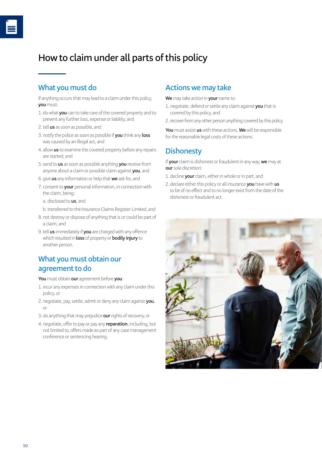## **How to claim under all parts of this policy**

### **What you must do**

If anything occurs that may lead to a claim under this policy, **you** must:

- 1. do what **you** can to take care of the covered property and to prevent any further loss, expense or liability, and
- 2.tell **us** as soon as possible, and
- 3. notify the police as soon as possible if **you** think any **loss** was caused by an illegal act, and
- 4. allow **us** to examine the covered property before any repairs are started, and
- 5. send to **us** as soon as possible anything **you** receive from anyone about a claim or possible claim against **you**, and
- 6. give **us** any information or help that **we** ask for, and
- 7. consent to **your** personal information, in connection with the claim, being:
	- a. disclosed to **us**, and
	- b. transferred to the Insurance Claims Register Limited, and
- 8. not destroy or dispose of anything that is or could be part of a claim, and
- 9.tell **us** immediately if **you** are charged with any offence which resulted in **loss** of property or **bodily injury** to another person.

### **What you must obtain our agreement to do**

**You** must obtain **our** agreement before **you**:

- 1. incur any expenses in connection with any claim under this policy, or
- 2. negotiate, pay, settle, admit or deny any claim against **you**, or
- 3. do anything that may prejudice **our** rights of recovery, or
- 4. negotiate, offer to pay or pay any **reparation**, including, but not limited to, offers made as part of any case management conference or sentencing hearing.

### **Actions we may take**

**We** may take action in **your** name to:

- 1. negotiate, defend or settle any claim against **you** that is covered by this policy, and
- 2.recover from any other person anything covered by this policy.

**You** must assist **us** with these actions. **We** will be responsible for the reasonable legal costs of these actions.

### **Dishonesty**

If **your** claim is dishonest or fraudulent in any way, **we** may at **our** sole discretion:

- 1. decline **your** claim, either in whole or in part, and
- 2. declare either this policy or all insurance **you** have with **us** to be of no effect and to no longer exist from the date of the dishonest or fraudulent act.

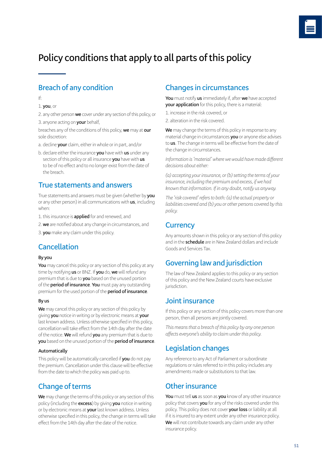## **Policy conditions that apply to all parts of this policy**

### **Breach of any condition**

If:

### 1. **you**, or

2. any other person **we** cover under any section of this policy, or 3. anyone acting on **your** behalf,

breaches any of the conditions of this policy, **we** may at **our** sole discretion:

- a. decline **your** claim, either in whole or in part, and/or
- b. declare either the insurance **you** have with **us** under any section of this policy or all insurance **you** have with **us** to be of no effect and to no longer exist from the date of the breach.

### **True statements and answers**

True statements and answers must be given (whether by **you** or any other person) in all communications with **us**, including when:

- 1.this insurance is **applied** for and renewed, and
- 2. **we** are notified about any change in circumstances, and
- 3. **you** make any claim under this policy.

### **Cancellation**

### **By you**

**You** may cancel this policy or any section of this policy at any time by notifying **us** or BNZ. If **you** do, **we** will refund any premium that is due to **you** based on the unused portion of the **period of insurance**. **You** must pay any outstanding premium for the used portion of the **period of insurance**.

### **By us**

**We** may cancel this policy or any section of this policy by giving **you** notice in writing or by electronic means at **your** last known address. Unless otherwise specified in this policy, cancellation will take effect from the 14th day after the date of the notice. **We** will refund **you** any premium that is due to **you** based on the unused portion of the **period of insurance**.

### **Automatically**

This policy will be automatically cancelled if **you** do not pay the premium. Cancellation under this clause will be effective from the date to which the policy was paid up to.

### **Change of terms**

**We** may change the terms of this policy or any section of this policy (including the **excess**) by giving **you** notice in writing or by electronic means at **your** last known address. Unless otherwise specified in this policy, the change in terms will take effect from the 14th day after the date of the notice.

### **Changes in circumstances**

**You** must notify **us** immediately if, after **we** have accepted **your application** for this policy, there is a material:

- 1. increase in the risk covered, or
- 2. alteration in the risk covered.

**We** may change the terms of this policy in response to any material change in circumstances **you** or anyone else advises to **us**. The change in terms will be effective from the date of the change in circumstances.

*Information is 'material' where we would have made different decisions about either:*

*(a) accepting your insurance, or (b) setting the terms of your insurance, including the premium and excess, if we had known that information. If in any doubt, notify us anyway.*

*The 'risk covered' refers to both: (a) the actual property or liabilities covered and (b) you or other persons covered by this policy.*

### **Currency**

Any amounts shown in this policy or any section of this policy and in the **schedule** are in New Zealand dollars and include Goods and Services Tax.

### **Governing law and jurisdiction**

The law of New Zealand applies to this policy or any section of this policy and the New Zealand courts have exclusive jurisdiction.

### **Joint insurance**

If this policy or any section of this policy covers more than one person, then all persons are jointly covered.

*This means that a breach of this policy by any one person affects everyone's ability to claim under this policy.*

### **Legislation changes**

Any reference to any Act of Parliament or subordinate regulations or rules referred to in this policy includes any amendments made or substitutions to that law.

### **Other insurance**

**You** must tell **us** as soon as **you** know of any other insurance policy that covers **you** for any of the risks covered under this policy. This policy does not cover **yourloss** or liability at all if it is insured to any extent under any other insurance policy. **We** will not contribute towards any claim under any other insurance policy.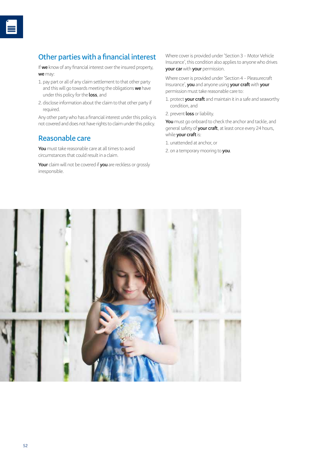### **Other parties with a financial interest**

If **we** know of any financial interest over the insured property, **we** may:

- 1. pay part or all of any claim settlement to that other party and this will go towards meeting the obligations **we** have under this policy for the **loss**, and
- 2. disclose information about the claim to that other party if required.

Any other party who has a financial interest under this policy is not covered and does not have rights to claim under this policy.

### **Reasonable care**

**You** must take reasonable care at all times to avoid circumstances that could result in a claim.

**Your** claim will not be covered if **you** are reckless or grossly irresponsible.

Where cover is provided under 'Section 3 – Motor Vehicle Insurance', this condition also applies to anyone who drives **your car** with **your** permission.

Where cover is provided under 'Section 4 – Pleasurecraft Insurance', **you** and anyone using **your craft** with **your** permission must take reasonable care to:

- 1. protect **your craft** and maintain it in a safe and seaworthy condition, and
- 2. prevent **loss** or liability.

**You** must go onboard to check the anchor and tackle, and general safety of **your craft**, at least once every 24 hours, while **your craft** is:

- 1. unattended at anchor, or
- 2. on a temporary mooring to **you**.

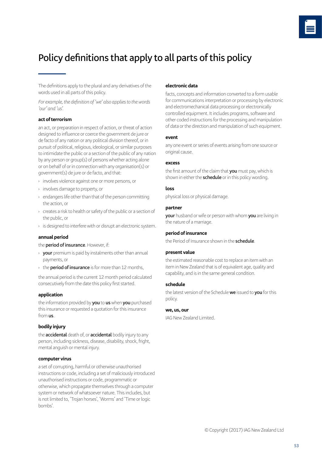## **Policy definitions that apply to all parts of this policy**

The definitions apply to the plural and any derivatives of the words used in all parts of this policy.

*For example, the definition of 'we' also applies to the words 'our' and 'us'.*

### **act of terrorism**

an act, or preparation in respect of action, or threat of action designed to influence or coerce the government de jure or de facto of any nation or any political division thereof, or in pursuit of political, religious, ideological, or similar purposes to intimidate the public or a section of the public of any nation by any person or group(s) of persons whether acting alone or on behalf of or in connection with any organisation(s) or government(s) de jure or de facto, and that:

- › involves violence against one or more persons, or
- › involves damage to property, or
- › endangers life other than that of the person committing the action, or
- › creates a risk to health or safety of the public or a section of the public, or
- › is designed to interfere with or disrupt an electronic system.

### **annual period**

the **period of insurance**. However, if:

- › **your** premium is paid by instalments other than annual payments, or
- › the **period of insurance** is for more than 12 months,

the annual period is the current 12 month period calculated consecutively from the date this policy first started.

### **application**

the information provided by **you** to **us** when **you** purchased this insurance or requested a quotation for this insurance from **us**.

### **bodily injury**

the **accidental** death of, or **accidental** bodily injury to any person, including sickness, disease, disability, shock, fright, mental anguish or mental injury.

### **computer virus**

a set of corrupting, harmful or otherwise unauthorised instructions or code, including a set of maliciously introduced unauthorised instructions or code, programmatic or otherwise, which propagate themselves through a computer system or network of whatsoever nature. This includes, but is not limited to, 'Trojan horses', 'Worms' and 'Time or logic bombs'.

### **electronic data**

facts, concepts and information converted to a form usable for communications interpretation or processing by electronic and electromechanical data processing or electronically controlled equipment. It includes programs, software and other coded instructions for the processing and manipulation of data or the direction and manipulation of such equipment.

#### **event**

any one event or series of events arising from one source or original cause.

### **excess**

the first amount of the claim that **you** must pay, which is shown in either the **schedule** or in this policy wording.

### **loss**

physical loss or physical damage.

### **partner**

**your** husband or wife or person with whom **you** are living in the nature of a marriage.

### **period of insurance**

the Period of Insurance shown in the **schedule**.

### **present value**

the estimated reasonable cost to replace an item with an item in New Zealand that is of equivalent age, quality and capability, and is in the same general condition.

### **schedule**

the latest version of the Schedule **we** issued to **you** for this policy.

### **we, us, our**

IAG New Zealand Limited.